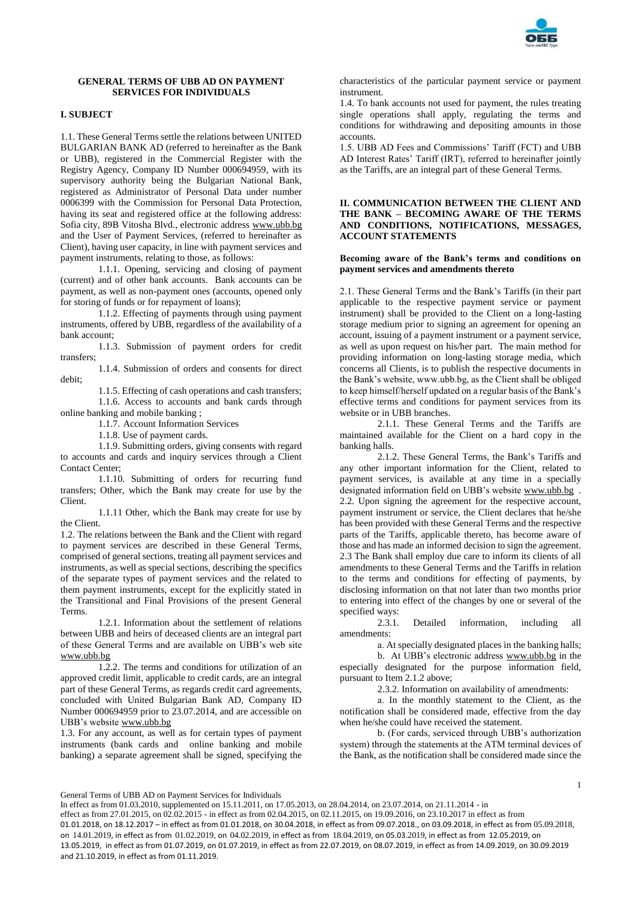

# **GENERAL TERMS OF UBB AD ON PAYMENT SERVICES FOR INDIVIDUALS**

# **I. SUBJECT**

1.1. These General Terms settle the relations between UNITED BULGARIAN BANK AD (referred to hereinafter as the Bank or UBB), registered in the Commercial Register with the Registry Agency, Company ID Number 000694959, with its supervisory authority being the Bulgarian National Bank, registered as Administrator of Personal Data under number 0006399 with the Commission for Personal Data Protection, having its seat and registered office at the following address: Sofia city, 89B Vitosha Blvd., electronic address [www.ubb.bg](http://www.ubb.bg/) and the User of Payment Services, (referred to hereinafter as Client), having user capacity, in line with payment services and payment instruments, relating to those, as follows:

1.1.1. Opening, servicing and closing of payment (current) and of other bank accounts. Bank accounts can be payment, as well as non-payment ones (accounts, opened only for storing of funds or for repayment of loans);

1.1.2. Effecting of payments through using payment instruments, offered by UBB, regardless of the availability of a bank account;

1.1.3. Submission of payment orders for credit transfers;

1.1.4. Submission of orders and consents for direct debit;

1.1.5. Effecting of cash operations and cash transfers; 1.1.6. Access to accounts and bank cards through online banking and mobile banking ;

1.1.7. Account Information Services

1.1.8. Use of payment cards.

1.1.9. Submitting orders, giving consents with regard to accounts and cards and inquiry services through a Client Contact Center;

1.1.10. Submitting of orders for recurring fund transfers; Other, which the Bank may create for use by the Client.

1.1.11 Other, which the Bank may create for use by the Client.

1.2. The relations between the Bank and the Client with regard to payment services are described in these General Terms, comprised of general sections, treating all payment services and instruments, as well as special sections, describing the specifics of the separate types of payment services and the related to them payment instruments, except for the explicitly stated in the Transitional and Final Provisions of the present General Terms.

1.2.1. Information about the settlement of relations between UBB and heirs of deceased clients are an integral part of these General Terms and are available on UBB's web site [www.ubb.bg](http://www.ubb.bg/)

1.2.2. The terms and conditions for utilization of an approved credit limit, applicable to credit cards, are an integral part of these General Terms, as regards credit card agreements, concluded with United Bulgarian Bank AD, Company ID Number 000694959 prior to 23.07.2014, and are accessible on UBB's websit[e www.ubb.bg](http://www.ubb.bg/)

1.3. For any account, as well as for certain types of payment instruments (bank cards and online banking and mobile banking) a separate agreement shall be signed, specifying the

characteristics of the particular payment service or payment instrument.

1.4. To bank accounts not used for payment, the rules treating single operations shall apply, regulating the terms and conditions for withdrawing and depositing amounts in those accounts.

1.5. UBB AD Fees and Commissions' Tariff (FCT) and UBB AD Interest Rates' Tariff (IRT), referred to hereinafter jointly as the Tariffs, are an integral part of these General Terms.

### **II. COMMUNICATION BETWEEN THE CLIENT AND THE BANK – BECOMING AWARE OF THE TERMS AND CONDITIONS, NOTIFICATIONS, MESSAGES, ACCOUNT STATEMENTS**

## **Becoming aware of the Bank's terms and conditions on payment services and amendments thereto**

2.1. These General Terms and the Bank's Tariffs (in their part applicable to the respective payment service or payment instrument) shall be provided to the Client on a long-lasting storage medium prior to signing an agreement for opening an account, issuing of a payment instrument or a payment service, as well as upon request on his/her part. The main method for providing information on long-lasting storage media, which concerns all Clients, is to publish the respective documents in the Bank's website, www.ubb.bg, as the Client shall be obliged to keep himself/herself updated on a regular basis of the Bank's effective terms and conditions for payment services from its website or in UBB branches.

2.1.1. These General Terms and the Tariffs are maintained available for the Client on a hard copy in the banking halls.

2.1.2. These General Terms, the Bank's Tariffs and any other important information for the Client, related to payment services, is available at any time in a specially designated information field on UBB's websit[e www.ubb.bg](http://www.ubb.bg/) . 2.2. Upon signing the agreement for the respective account, payment instrument or service, the Client declares that he/she has been provided with these General Terms and the respective parts of the Tariffs, applicable thereto, has become aware of those and has made an informed decision to sign the agreement. 2.3 The Bank shall employ due care to inform its clients of all amendments to these General Terms and the Tariffs in relation to the terms and conditions for effecting of payments, by disclosing information on that not later than two months prior to entering into effect of the changes by one or several of the specified ways:

2.3.1. Detailed information, including all amendments:

а. At specially designated places in the banking halls;

b. At UBB's electronic address [www.ubb.bg](http://www.ubb.bg/) in the especially designated for the purpose information field, pursuant to Item 2.1.2 above;

2.3.2. Information on availability of amendments:

а. In the monthly statement to the Client, as the notification shall be considered made, effective from the day when he/she could have received the statement.

b. (For cards, serviced through UBB's authorization system) through the statements at the АТМ terminal devices of the Bank, as the notification shall be considered made since the

General Terms of UBB AD on Payment Services for Individuals

In effect as from 01.03.2010, supplemented on 15.11.2011, on 17.05.2013, on 28.04.2014, on 23.07.2014, on 21.11.2014 - in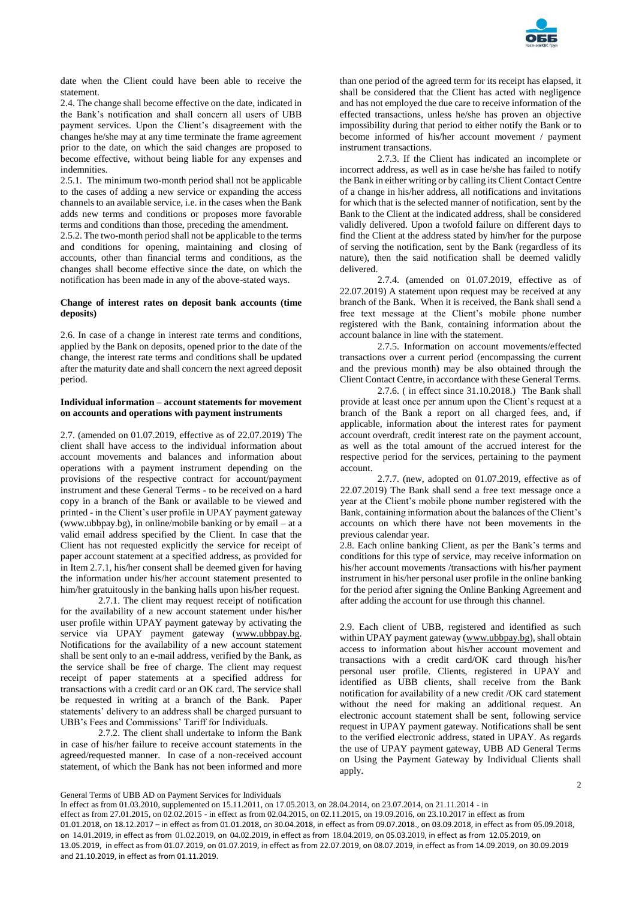

date when the Client could have been able to receive the statement.

2.4. The change shall become effective on the date, indicated in the Bank's notification and shall concern all users of UBB payment services. Upon the Client's disagreement with the changes he/she may at any time terminate the frame agreement prior to the date, on which the said changes are proposed to become effective, without being liable for any expenses and indemnities.

2.5.1. The minimum two-month period shall not be applicable to the cases of adding a new service or expanding the access channels to an available service, i.e. in the cases when the Bank adds new terms and conditions or proposes more favorable terms and conditions than those, preceding the amendment.

2.5.2. The two-month period shall not be applicable to the terms and conditions for opening, maintaining and closing of accounts, other than financial terms and conditions, as the changes shall become effective since the date, on which the notification has been made in any of the above-stated ways.

#### **Change of interest rates on deposit bank accounts (time deposits)**

2.6. In case of a change in interest rate terms and conditions, applied by the Bank on deposits, opened prior to the date of the change, the interest rate terms and conditions shall be updated after the maturity date and shall concern the next agreed deposit period.

# **Individual information – account statements for movement on accounts and operations with payment instruments**

2.7. (amended on 01.07.2019, effective as of 22.07.2019) The client shall have access to the individual information about account movements and balances and information about operations with a payment instrument depending on the provisions of the respective contract for account/payment instrument and these General Terms - to be received on a hard copy in a branch of the Bank or available to be viewed and printed - in the Client's user profile in UPAY payment gateway (www.ubbpay.bg), in online/mobile banking or by email – at a valid email address specified by the Client. In case that the Client has not requested explicitly the service for receipt of paper account statement at a specified address, as provided for in Item 2.7.1, his/her consent shall be deemed given for having the information under his/her account statement presented to him/her gratuitously in the banking halls upon his/her request.

2.7.1. The client may request receipt of notification for the availability of a new account statement under his/her user profile within UPAY payment gateway by activating the service via UPAY payment gateway (www.ubbpay.bg. Notifications for the availability of a new account statement shall be sent only to an e-mail address, verified by the Bank, as the service shall be free of charge. The client may request receipt of paper statements at a specified address for transactions with a credit card or an OK card. The service shall be requested in writing at a branch of the Bank. Paper statements' delivery to an address shall be charged pursuant to UBB's Fees and Commissions' Tariff for Individuals.

2.7.2. The client shall undertake to inform the Bank in case of his/her failure to receive account statements in the agreed/requested manner. In case of a non-received account statement, of which the Bank has not been informed and more

than one period of the agreed term for its receipt has elapsed, it shall be considered that the Client has acted with negligence and has not employed the due care to receive information of the effected transactions, unless he/she has proven an objective impossibility during that period to either notify the Bank or to become informed of his/her account movement / payment instrument transactions.

2.7.3. If the Client has indicated an incomplete or incorrect address, as well as in case he/she has failed to notify the Bank in either writing or by calling its Client Contact Centre of a change in his/her address, all notifications and invitations for which that is the selected manner of notification, sent by the Bank to the Client at the indicated address, shall be considered validly delivered. Upon a twofold failure on different days to find the Client at the address stated by him/her for the purpose of serving the notification, sent by the Bank (regardless of its nature), then the said notification shall be deemed validly delivered.

2.7.4. (amended on 01.07.2019, effective as of 22.07.2019) A statement upon request may be received at any branch of the Bank. When it is received, the Bank shall send a free text message at the Client's mobile phone number registered with the Bank, containing information about the account balance in line with the statement.

2.7.5. Information on account movements/effected transactions over a current period (encompassing the current and the previous month) may be also obtained through the Client Contact Centre, in accordance with these General Terms.

2.7.6. ( in effect since 31.10.2018.) The Bank shall provide at least once per annum upon the Client's request at a branch of the Bank a report on all charged fees, and, if applicable, information about the interest rates for payment account overdraft, credit interest rate on the payment account, as well as the total amount of the accrued interest for the respective period for the services, pertaining to the payment account.

2.7.7. (new, adopted on 01.07.2019, effective as of 22.07.2019) The Bank shall send a free text message once a year at the Client's mobile phone number registered with the Bank, containing information about the balances of the Client's accounts on which there have not been movements in the previous calendar year.

2.8. Each online banking Client, as per the Bank's terms and conditions for this type of service, may receive information on his/her account movements /transactions with his/her payment instrument in his/her personal user profile in the online banking for the period after signing the Online Banking Agreement and after adding the account for use through this channel.

2.9. Each client of UBB, registered and identified as such within UPAY payment gateway [\(www.ubbpay.bg\)](http://www.ubbpay.bg/), shall obtain access to information about his/her account movement and transactions with a credit card/OK card through his/her personal user profile. Clients, registered in UPAY and identified as UBB clients, shall receive from the Bank notification for availability of a new credit /OK card statement without the need for making an additional request. An electronic account statement shall be sent, following service request in UPAY payment gateway. Notifications shall be sent to the verified electronic address, stated in UPAY. As regards the use of UPAY payment gateway, UBB AD General Terms on Using the Payment Gateway by Individual Clients shall apply.

2

General Terms of UBB AD on Payment Services for Individuals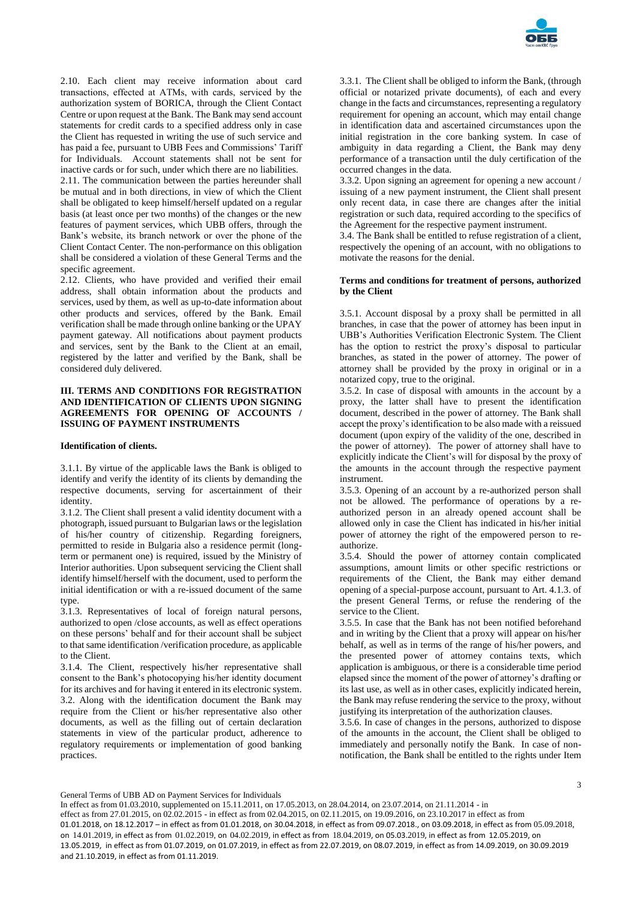

2.10. Each client may receive information about card transactions, effected at АТМs, with cards, serviced by the authorization system of BORICA, through the Client Contact Centre or upon request at the Bank. The Bank may send account statements for credit cards to a specified address only in case the Client has requested in writing the use of such service and has paid a fee, pursuant to UBB Fees and Commissions' Tariff for Individuals. Account statements shall not be sent for inactive cards or for such, under which there are no liabilities. 2.11. The communication between the parties hereunder shall

be mutual and in both directions, in view of which the Client shall be obligated to keep himself/herself updated on a regular basis (at least once per two months) of the changes or the new features of payment services, which UBB offers, through the Bank's website, its branch network or over the phone of the Client Contact Center. The non-performance on this obligation shall be considered a violation of these General Terms and the specific agreement.

2.12. Clients, who have provided and verified their email address, shall obtain information about the products and services, used by them, as well as up-to-date information about other products and services, offered by the Bank. Email verification shall be made through online banking or the UPAY payment gateway. All notifications about payment products and services, sent by the Bank to the Client at an email, registered by the latter and verified by the Bank, shall be considered duly delivered.

# **III. TERMS AND CONDITIONS FOR REGISTRATION AND IDENTIFICATION OF CLIENTS UPON SIGNING AGREEMENTS FOR OPENING OF ACCOUNTS / ISSUING OF PAYMENT INSTRUMENTS**

#### **Identification of clients.**

3.1.1. By virtue of the applicable laws the Bank is obliged to identify and verify the identity of its clients by demanding the respective documents, serving for ascertainment of their identity.

3.1.2. The Client shall present a valid identity document with a photograph, issued pursuant to Bulgarian laws or the legislation of his/her country of citizenship. Regarding foreigners, permitted to reside in Bulgaria also a residence permit (longterm or permanent one) is required, issued by the Ministry of Interior authorities. Upon subsequent servicing the Client shall identify himself/herself with the document, used to perform the initial identification or with a re-issued document of the same type.

3.1.3. Representatives of local of foreign natural persons, authorized to open /close accounts, as well as effect operations on these persons' behalf and for their account shall be subject to that same identification /verification procedure, as applicable to the Client.

3.1.4. The Client, respectively his/her representative shall consent to the Bank's photocopying his/her identity document for its archives and for having it entered in its electronic system. 3.2. Along with the identification document the Bank may require from the Client or his/her representative also other documents, as well as the filling out of certain declaration statements in view of the particular product, adherence to regulatory requirements or implementation of good banking practices.

3.3.1. The Client shall be obliged to inform the Bank, (through official or notarized private documents), of each and every change in the facts and circumstances, representing a regulatory requirement for opening an account, which may entail change in identification data and ascertained circumstances upon the initial registration in the core banking system. In case of ambiguity in data regarding a Client, the Bank may deny performance of a transaction until the duly certification of the occurred changes in the data.

3.3.2. Upon signing an agreement for opening a new account / issuing of a new payment instrument, the Client shall present only recent data, in case there are changes after the initial registration or such data, required according to the specifics of the Agreement for the respective payment instrument.

3.4. The Bank shall be entitled to refuse registration of a client, respectively the opening of an account, with no obligations to motivate the reasons for the denial.

#### **Terms and conditions for treatment of persons, authorized by the Client**

3.5.1. Account disposal by a proxy shall be permitted in all branches, in case that the power of attorney has been input in UBB's Authorities Verification Electronic System. The Client has the option to restrict the proxy's disposal to particular branches, as stated in the power of attorney. The power of attorney shall be provided by the proxy in original or in a notarized copy, true to the original.

3.5.2. In case of disposal with amounts in the account by a proxy, the latter shall have to present the identification document, described in the power of attorney. The Bank shall accept the proxy's identification to be also made with a reissued document (upon expiry of the validity of the one, described in the power of attorney). The power of attorney shall have to explicitly indicate the Client's will for disposal by the proxy of the amounts in the account through the respective payment instrument.

3.5.3. Opening of an account by a re-authorized person shall not be allowed. The performance of operations by a reauthorized person in an already opened account shall be allowed only in case the Client has indicated in his/her initial power of attorney the right of the empowered person to reauthorize.

3.5.4. Should the power of attorney contain complicated assumptions, amount limits or other specific restrictions or requirements of the Client, the Bank may either demand opening of a special-purpose account, pursuant to Art. 4.1.3. of the present General Terms, or refuse the rendering of the service to the Client.

3.5.5. In case that the Bank has not been notified beforehand and in writing by the Client that a proxy will appear on his/her behalf, as well as in terms of the range of his/her powers, and the presented power of attorney contains texts, which application is ambiguous, or there is a considerable time period elapsed since the moment of the power of attorney's drafting or its last use, as well as in other cases, explicitly indicated herein, the Bank may refuse rendering the service to the proxy, without justifying its interpretation of the authorization clauses.

3.5.6. In case of changes in the persons, authorized to dispose of the amounts in the account, the Client shall be obliged to immediately and personally notify the Bank. In case of nonnotification, the Bank shall be entitled to the rights under Item

General Terms of UBB AD on Payment Services for Individuals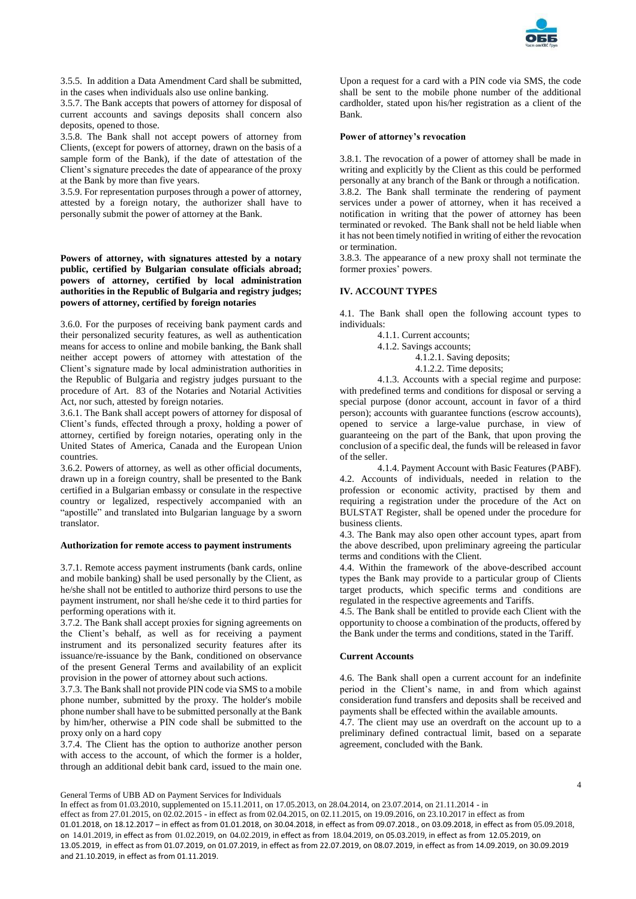

3.5.5. In addition a Data Amendment Card shall be submitted, in the cases when individuals also use online banking.

3.5.7. The Bank accepts that powers of attorney for disposal of current accounts and savings deposits shall concern also deposits, opened to those.

3.5.8. The Bank shall not accept powers of attorney from Clients, (except for powers of attorney, drawn on the basis of a sample form of the Bank), if the date of attestation of the Client's signature precedes the date of appearance of the proxy at the Bank by more than five years.

3.5.9. For representation purposes through a power of attorney, attested by a foreign notary, the authorizer shall have to personally submit the power of attorney at the Bank.

**Powers of attorney, with signatures attested by a notary public, certified by Bulgarian consulate officials abroad; powers of attorney, certified by local administration authorities in the Republic of Bulgaria and registry judges; powers of attorney, certified by foreign notaries**

3.6.0. For the purposes of receiving bank payment cards and their personalized security features, as well as authentication means for access to online and mobile banking, the Bank shall neither accept powers of attorney with attestation of the Client's signature made by local administration authorities in the Republic of Bulgaria and registry judges pursuant to the procedure of Art. 83 of the Notaries and Notarial Activities Act, nor such, attested by foreign notaries.

3.6.1. The Bank shall accept powers of attorney for disposal of Client's funds, effected through a proxy, holding a power of attorney, certified by foreign notaries, operating only in the United States of America, Canada and the European Union countries.

3.6.2. Powers of attorney, as well as other official documents, drawn up in a foreign country, shall be presented to the Bank certified in a Bulgarian embassy or consulate in the respective country or legalized, respectively accompanied with an "apostille" and translated into Bulgarian language by a sworn translator.

#### **Authorization for remote access to payment instruments**

3.7.1. Remote access payment instruments (bank cards, online and mobile banking) shall be used personally by the Client, as he/she shall not be entitled to authorize third persons to use the payment instrument, nor shall he/she cede it to third parties for performing operations with it.

3.7.2. The Bank shall accept proxies for signing agreements on the Client's behalf, as well as for receiving a payment instrument and its personalized security features after its issuance/re-issuance by the Bank, conditioned on observance of the present General Terms and availability of an explicit provision in the power of attorney about such actions.

3.7.3. The Bank shall not provide PIN code via SMS to a mobile phone number, submitted by the proxy. The holder's mobile phone number shall have to be submitted personally at the Bank by him/her, otherwise a PIN code shall be submitted to the proxy only on a hard copy

3.7.4. The Client has the option to authorize another person with access to the account, of which the former is a holder, through an additional debit bank card, issued to the main one.

Upon a request for a card with a PIN code via SMS, the code shall be sent to the mobile phone number of the additional cardholder, stated upon his/her registration as a client of the Bank.

#### **Power of attorney's revocation**

3.8.1. The revocation of a power of attorney shall be made in writing and explicitly by the Client as this could be performed personally at any branch of the Bank or through a notification. 3.8.2. The Bank shall terminate the rendering of payment services under a power of attorney, when it has received a notification in writing that the power of attorney has been terminated or revoked. The Bank shall not be held liable when it has not been timely notified in writing of either the revocation or termination.

3.8.3. The appearance of a new proxy shall not terminate the former proxies' powers.

# **IV. ACCOUNT TYPES**

4.1. The Bank shall open the following account types to individuals:

4.1.1. Current accounts;

4.1.2. Savings accounts;

4.1.2.1. Saving deposits;

4.1.2.2. Time deposits;

4.1.3. Accounts with a special regime and purpose: with predefined terms and conditions for disposal or serving a special purpose (donor account, account in favor of a third person); accounts with guarantee functions (escrow accounts), opened to service a large-value purchase, in view of guaranteeing on the part of the Bank, that upon proving the conclusion of a specific deal, the funds will be released in favor of the seller.

4.1.4. Payment Account with Basic Features (PABF). 4.2. Accounts of individuals, needed in relation to the profession or economic activity, practised by them and requiring a registration under the procedure of the Act on BULSTAT Register, shall be opened under the procedure for business clients.

4.3. The Bank may also open other account types, apart from the above described, upon preliminary agreeing the particular terms and conditions with the Client.

4.4. Within the framework of the above-described account types the Bank may provide to a particular group of Clients target products, which specific terms and conditions are regulated in the respective agreements and Tariffs.

4.5. The Bank shall be entitled to provide each Client with the opportunity to choose a combination of the products, offered by the Bank under the terms and conditions, stated in the Tariff.

# **Current Accounts**

4.6. The Bank shall open a current account for an indefinite period in the Client's name, in and from which against consideration fund transfers and deposits shall be received and payments shall be effected within the available amounts.

4.7. The client may use an overdraft on the account up to a preliminary defined contractual limit, based on a separate agreement, concluded with the Bank.

General Terms of UBB AD on Payment Services for Individuals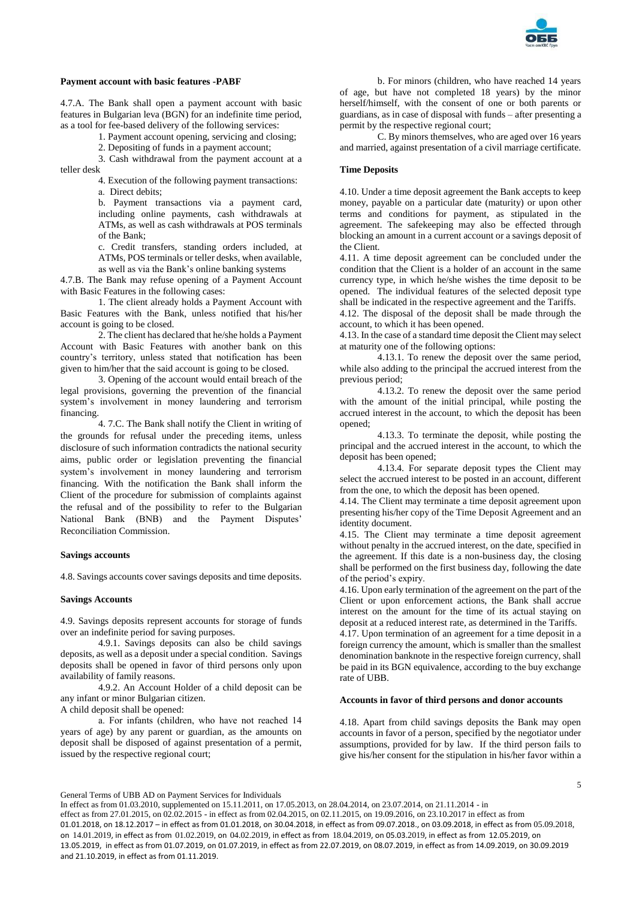

# **Payment account with basic features -PABF**

4.7.A. The Bank shall open a payment account with basic features in Bulgarian leva (BGN) for an indefinite time period, as a tool for fee-based delivery of the following services:

1. Payment account opening, servicing and closing;

2. Depositing of funds in a payment account;

3. Cash withdrawal from the payment account at a teller desk

4. Execution of the following payment transactions: а. Direct debits;

b. Payment transactions via a payment card, including online payments, cash withdrawals at ATMs, as well as cash withdrawals at POS terminals of the Bank;

c. Credit transfers, standing orders included, at ATMs, POS terminals or teller desks, when available, as well as via the Bank's online banking systems

4.7.B. The Bank may refuse opening of a Payment Account with Basic Features in the following cases:

1. The client already holds a Payment Account with Basic Features with the Bank, unless notified that his/her account is going to be closed.

2. The client has declared that he/she holds a Payment Account with Basic Features with another bank on this country's territory, unless stated that notification has been given to him/her that the said account is going to be closed.

3. Opening of the account would entail breach of the legal provisions, governing the prevention of the financial system's involvement in money laundering and terrorism financing.

4. 7.C. The Bank shall notify the Client in writing of the grounds for refusal under the preceding items, unless disclosure of such information contradicts the national security aims, public order or legislation preventing the financial system's involvement in money laundering and terrorism financing. With the notification the Bank shall inform the Client of the procedure for submission of complaints against the refusal and of the possibility to refer to the Bulgarian National Bank (BNB) and the Payment Disputes' Reconciliation Commission.

# **Savings accounts**

4.8. Savings accounts cover savings deposits and time deposits.

# **Savings Accounts**

4.9. Savings deposits represent accounts for storage of funds over an indefinite period for saving purposes.

4.9.1. Savings deposits can also be child savings deposits, as well as a deposit under a special condition. Savings deposits shall be opened in favor of third persons only upon availability of family reasons.

4.9.2. An Account Holder of a child deposit can be any infant or minor Bulgarian citizen.

A child deposit shall be opened:

а. For infants (children, who have not reached 14 years of age) by any parent or guardian, as the amounts on deposit shall be disposed of against presentation of a permit, issued by the respective regional court;

b. For minors (children, who have reached 14 years of age, but have not completed 18 years) by the minor herself/himself, with the consent of one or both parents or guardians, as in case of disposal with funds – after presenting a permit by the respective regional court;

C. By minors themselves, who are aged over 16 years and married, against presentation of a civil marriage certificate.

# **Time Deposits**

4.10. Under a time deposit agreement the Bank accepts to keep money, payable on a particular date (maturity) or upon other terms and conditions for payment, as stipulated in the agreement. The safekeeping may also be effected through blocking an amount in a current account or a savings deposit of the Client.

4.11. A time deposit agreement can be concluded under the condition that the Client is a holder of an account in the same currency type, in which he/she wishes the time deposit to be opened. The individual features of the selected deposit type shall be indicated in the respective agreement and the Tariffs.

4.12. The disposal of the deposit shall be made through the account, to which it has been opened.

4.13. In the case of a standard time deposit the Client may select at maturity one of the following options:

4.13.1. To renew the deposit over the same period, while also adding to the principal the accrued interest from the previous period;

4.13.2. To renew the deposit over the same period with the amount of the initial principal, while posting the accrued interest in the account, to which the deposit has been opened;

4.13.3. To terminate the deposit, while posting the principal and the accrued interest in the account, to which the deposit has been opened;

4.13.4. For separate deposit types the Client may select the accrued interest to be posted in an account, different from the one, to which the deposit has been opened.

4.14. The Client may terminate a time deposit agreement upon presenting his/her copy of the Time Deposit Agreement and an identity document.

4.15. The Client may terminate a time deposit agreement without penalty in the accrued interest, on the date, specified in the agreement. If this date is a non-business day, the closing shall be performed on the first business day, following the date of the period's expiry.

4.16. Upon early termination of the agreement on the part of the Client or upon enforcement actions, the Bank shall accrue interest on the amount for the time of its actual staying on deposit at a reduced interest rate, as determined in the Tariffs.

4.17. Upon termination of an agreement for a time deposit in a foreign currency the amount, which is smaller than the smallest denomination banknote in the respective foreign currency, shall be paid in its BGN equivalence, according to the buy exchange rate of UBB.

# **Accounts in favor of third persons and donor accounts**

4.18. Apart from child savings deposits the Bank may open accounts in favor of a person, specified by the negotiator under assumptions, provided for by law. If the third person fails to give his/her consent for the stipulation in his/her favor within a

General Terms of UBB AD on Payment Services for Individuals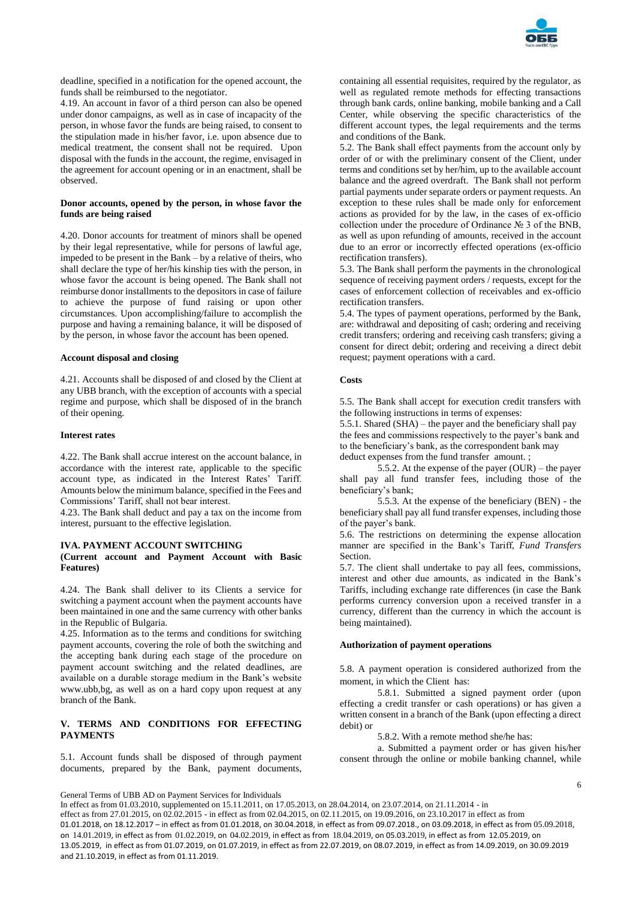

deadline, specified in a notification for the opened account, the funds shall be reimbursed to the negotiator.

4.19. An account in favor of a third person can also be opened under donor campaigns, as well as in case of incapacity of the person, in whose favor the funds are being raised, to consent to the stipulation made in his/her favor, i.e. upon absence due to medical treatment, the consent shall not be required. Upon disposal with the funds in the account, the regime, envisaged in the agreement for account opening or in an enactment, shall be observed.

## **Donor accounts, opened by the person, in whose favor the funds are being raised**

4.20. Donor accounts for treatment of minors shall be opened by their legal representative, while for persons of lawful age, impeded to be present in the Bank – by a relative of theirs, who shall declare the type of her/his kinship ties with the person, in whose favor the account is being opened. The Bank shall not reimburse donor installments to the depositors in case of failure to achieve the purpose of fund raising or upon other circumstances. Upon accomplishing/failure to accomplish the purpose and having a remaining balance, it will be disposed of by the person, in whose favor the account has been opened.

#### **Account disposal and closing**

4.21. Accounts shall be disposed of and closed by the Client at any UBB branch, with the exception of accounts with a special regime and purpose, which shall be disposed of in the branch of their opening.

#### **Interest rates**

4.22. The Bank shall accrue interest on the account balance, in accordance with the interest rate, applicable to the specific account type, as indicated in the Interest Rates' Tariff. Amounts below the minimum balance, specified in the Fees and Commissions' Tariff, shall not bear interest.

4.23. The Bank shall deduct and pay a tax on the income from interest, pursuant to the effective legislation.

#### **IVA. PAYMENT ACCOUNT SWITCHING (Current account and Payment Account with Basic Features)**

4.24. The Bank shall deliver to its Clients a service for switching a payment account when the payment accounts have been maintained in one and the same currency with other banks in the Republic of Bulgaria.

4.25. Information as to the terms and conditions for switching payment accounts, covering the role of both the switching and the accepting bank during each stage of the procedure on payment account switching and the related deadlines, are available on a durable storage medium in the Bank's website www.ubb,bg, as well as on a hard copy upon request at any branch of the Bank.

### **V. TERMS AND CONDITIONS FOR EFFECTING PAYMENTS**

5.1. Account funds shall be disposed of through payment documents, prepared by the Bank, payment documents, containing all essential requisites, required by the regulator, as well as regulated remote methods for effecting transactions through bank cards, online banking, mobile banking and a Call Center, while observing the specific characteristics of the different account types, the legal requirements and the terms and conditions of the Bank.

5.2. The Bank shall effect payments from the account only by order of or with the preliminary consent of the Client, under terms and conditions set by her/him, up to the available account balance and the agreed overdraft. The Bank shall not perform partial payments under separate orders or payment requests. An exception to these rules shall be made only for enforcement actions as provided for by the law, in the cases of ex-officio collection under the procedure of Ordinance № 3 of the BNB, as well as upon refunding of amounts, received in the account due to an error or incorrectly effected operations (ex-officio rectification transfers).

5.3. The Bank shall perform the payments in the chronological sequence of receiving payment orders / requests, except for the cases of enforcement collection of receivables and ex-officio rectification transfers.

5.4. The types of payment operations, performed by the Bank, are: withdrawal and depositing of cash; ordering and receiving credit transfers; ordering and receiving cash transfers; giving a consent for direct debit; ordering and receiving a direct debit request; payment operations with a card.

#### **Costs**

5.5. The Bank shall accept for execution credit transfers with the following instructions in terms of expenses:

5.5.1. Shared (SHA) – the payer and the beneficiary shall pay the fees and commissions respectively to the payer's bank and to the beneficiary's bank, as the correspondent bank may deduct expenses from the fund transfer amount. ;

5.5.2. At the expense of the payer (OUR) – the payer shall pay all fund transfer fees, including those of the beneficiary's bank;

5.5.3. At the expense of the beneficiary (BEN) - the beneficiary shall pay all fund transfer expenses, including those of the payer's bank.

5.6. The restrictions on determining the expense allocation manner are specified in the Bank's Tariff, *Fund Transfers* Section.

5.7. The client shall undertake to pay all fees, commissions, interest and other due amounts, as indicated in the Bank's Tariffs, including exchange rate differences (in case the Bank performs currency conversion upon a received transfer in a currency, different than the currency in which the account is being maintained).

#### **Authorization of payment operations**

5.8. A payment operation is considered authorized from the moment, in which the Client has:

5.8.1. Submitted a signed payment order (upon effecting a credit transfer or cash operations) or has given a written consent in a branch of the Bank (upon effecting a direct debit) or

5.8.2. With a remote method she/he has:

a. Submitted a payment order or has given his/her consent through the online or mobile banking channel, while

General Terms of UBB AD on Payment Services for Individuals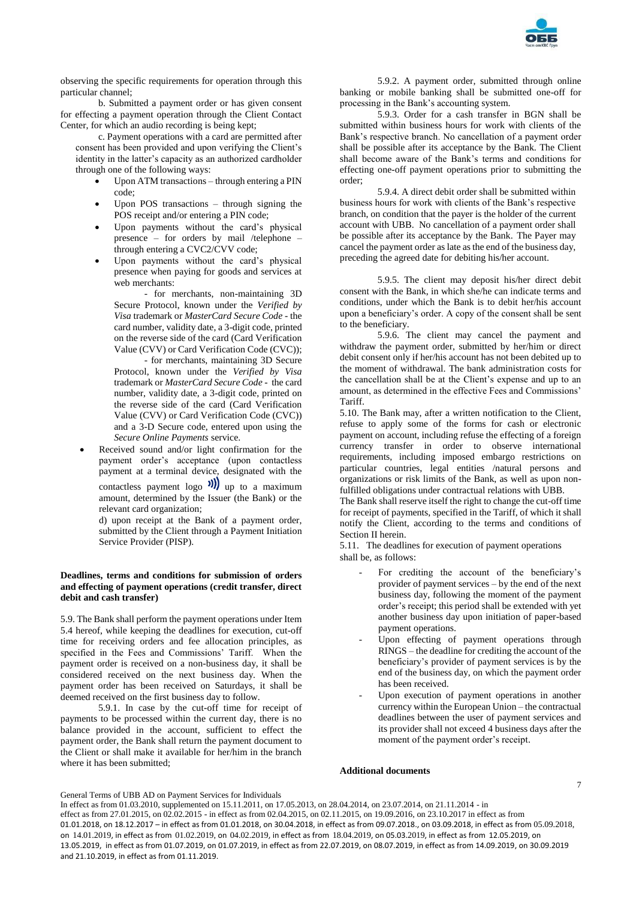

observing the specific requirements for operation through this particular channel;

b. Submitted a payment order or has given consent for effecting a payment operation through the Client Contact Center, for which an audio recording is being kept;

c. Payment operations with a card are permitted after consent has been provided and upon verifying the Client's identity in the latter's capacity as an authorized cardholder through one of the following ways:

- Upon ATM transactions through entering a PIN code;
- Upon POS transactions through signing the POS receipt and/or entering a PIN code;
- Upon payments without the card's physical presence – for orders by mail /telephone – through entering a CVC2/CVV code;
- Upon payments without the card's physical presence when paying for goods and services at web merchants:

- for merchants, non-maintaining 3D Secure Protocol, known under the *Verified by Visa* trademark or *MasterCard Secure Code* - the card number, validity date, a 3-digit code, printed on the reverse side of the card (Card Verification Value (CVV) or Card Verification Code (CVC));

- for merchants, maintaining 3D Secure Protocol, known under the *Verified by Visa* trademark or *MasterCard Secure Code* - the card number, validity date, a 3-digit code, printed on the reverse side of the card (Card Verification Value (CVV) or Card Verification Code (CVC)) and a 3-D Secure code, entered upon using the *Secure Online Payments* service.

 Received sound and/or light confirmation for the payment order's acceptance (upon contactless payment at a terminal device, designated with the contactless payment logo  $\sum_{m=1}^{\infty}$  up to a maximum amount, determined by the Issuer (the Bank) or the relevant card organization;

d) upon receipt at the Bank of a payment order, submitted by the Client through a Payment Initiation Service Provider (PISP).

# **Deadlines, terms and conditions for submission of orders and effecting of payment operations (credit transfer, direct debit and cash transfer)**

5.9. The Bank shall perform the payment operations under Item 5.4 hereof, while keeping the deadlines for execution, cut-off time for receiving orders and fee allocation principles, as specified in the Fees and Commissions' Tariff. When the payment order is received on a non-business day, it shall be considered received on the next business day. When the payment order has been received on Saturdays, it shall be deemed received on the first business day to follow.

5.9.1. In case by the cut-off time for receipt of payments to be processed within the current day, there is no balance provided in the account, sufficient to effect the payment order, the Bank shall return the payment document to the Client or shall make it available for her/him in the branch where it has been submitted;

5.9.2. A payment order, submitted through online banking or mobile banking shall be submitted one-off for processing in the Bank's accounting system.

5.9.3. Order for a cash transfer in BGN shall be submitted within business hours for work with clients of the Bank's respective branch. No cancellation of a payment order shall be possible after its acceptance by the Bank. The Client shall become aware of the Bank's terms and conditions for effecting one-off payment operations prior to submitting the order;

5.9.4. A direct debit order shall be submitted within business hours for work with clients of the Bank's respective branch, on condition that the payer is the holder of the current account with UBB. No cancellation of a payment order shall be possible after its acceptance by the Bank. The Payer may cancel the payment order as late as the end of the business day, preceding the agreed date for debiting his/her account.

5.9.5. The client may deposit his/her direct debit consent with the Bank, in which she/he can indicate terms and conditions, under which the Bank is to debit her/his account upon a beneficiary's order. A copy of the consent shall be sent to the beneficiary.

5.9.6. The client may cancel the payment and withdraw the payment order, submitted by her/him or direct debit consent only if her/his account has not been debited up to the moment of withdrawal. The bank administration costs for the cancellation shall be at the Client's expense and up to an amount, as determined in the effective Fees and Commissions' **Tariff** 

5.10. The Bank may, after a written notification to the Client, refuse to apply some of the forms for cash or electronic payment on account, including refuse the effecting of a foreign currency transfer in order to observe international requirements, including imposed embargo restrictions on particular countries, legal entities /natural persons and organizations or risk limits of the Bank, as well as upon nonfulfilled obligations under contractual relations with UBB.

The Bank shall reserve itself the right to change the cut-off time for receipt of payments, specified in the Tariff, of which it shall notify the Client, according to the terms and conditions of Section II herein.

5.11. The deadlines for execution of payment operations shall be, as follows:

- For crediting the account of the beneficiary's provider of payment services – by the end of the next business day, following the moment of the payment order's receipt; this period shall be extended with yet another business day upon initiation of paper-based payment operations.
- Upon effecting of payment operations through RINGS – the deadline for crediting the account of the beneficiary's provider of payment services is by the end of the business day, on which the payment order has been received.
- Upon execution of payment operations in another currency within the European Union – the contractual deadlines between the user of payment services and its provider shall not exceed 4 business days after the moment of the payment order's receipt.

#### **Additional documents**

#### General Terms of UBB AD on Payment Services for Individuals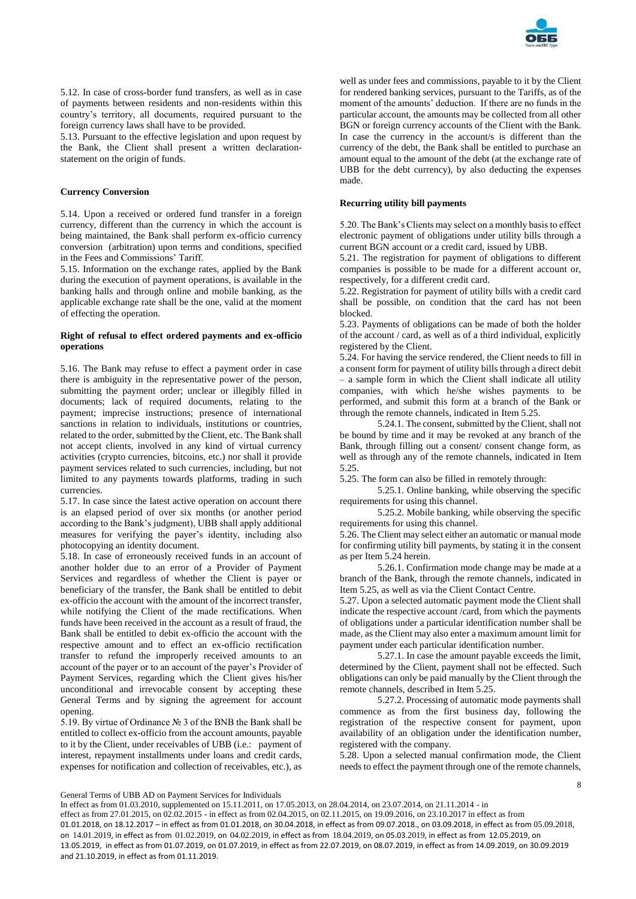

5.12. In case of cross-border fund transfers, as well as in case of payments between residents and non-residents within this country's territory, all documents, required pursuant to the foreign currency laws shall have to be provided.

5.13. Pursuant to the effective legislation and upon request by the Bank, the Client shall present a written declarationstatement on the origin of funds.

## **Currency Conversion**

5.14. Upon a received or ordered fund transfer in a foreign currency, different than the currency in which the account is being maintained, the Bank shall perform ex-officio currency conversion (arbitration) upon terms and conditions, specified in the Fees and Commissions' Tariff.

5.15. Information on the exchange rates, applied by the Bank during the execution of payment operations, is available in the banking halls and through online and mobile banking, as the applicable exchange rate shall be the one, valid at the moment of effecting the operation.

# **Right of refusal to effect ordered payments and ex-officio operations**

5.16. The Bank may refuse to effect a payment order in case there is ambiguity in the representative power of the person, submitting the payment order; unclear or illegibly filled in documents; lack of required documents, relating to the payment; imprecise instructions; presence of international sanctions in relation to individuals, institutions or countries, related to the order, submitted by the Client, etc. The Bank shall not accept clients, involved in any kind of virtual currency activities (crypto currencies, bitcoins, etc.) nor shall it provide payment services related to such currencies, including, but not limited to any payments towards platforms, trading in such currencies.

5.17. In case since the latest active operation on account there is an elapsed period of over six months (or another period according to the Bank's judgment), UBB shall apply additional measures for verifying the payer's identity, including also photocopying an identity document.

5.18. In case of erroneously received funds in an account of another holder due to an error of a Provider of Payment Services and regardless of whether the Client is payer or beneficiary of the transfer, the Bank shall be entitled to debit ex-officio the account with the amount of the incorrect transfer, while notifying the Client of the made rectifications. When funds have been received in the account as a result of fraud, the Bank shall be entitled to debit ex-officio the account with the respective amount and to effect an ex-officio rectification transfer to refund the improperly received amounts to an account of the payer or to an account of the payer's Provider of Payment Services, regarding which the Client gives his/her unconditional and irrevocable consent by accepting these General Terms and by signing the agreement for account opening.

5.19. By virtue of Ordinance № 3 of the BNB the Bank shall be entitled to collect ex-officio from the account amounts, payable to it by the Client, under receivables of UBB (i.e.: payment of interest, repayment installments under loans and credit cards, expenses for notification and collection of receivables, etc.), as

well as under fees and commissions, payable to it by the Client for rendered banking services, pursuant to the Tariffs, as of the moment of the amounts' deduction. If there are no funds in the particular account, the amounts may be collected from all other BGN or foreign currency accounts of the Client with the Bank. In case the currency in the account/s is different than the currency of the debt, the Bank shall be entitled to purchase an amount equal to the amount of the debt (at the exchange rate of UBB for the debt currency), by also deducting the expenses made.

# **Recurring utility bill payments**

5.20. The Bank's Clients may select on a monthly basis to effect electronic payment of obligations under utility bills through a current BGN account or a credit card, issued by UBB.

5.21. The registration for payment of obligations to different companies is possible to be made for a different account or, respectively, for a different credit card.

5.22. Registration for payment of utility bills with a credit card shall be possible, on condition that the card has not been blocked.

5.23. Payments of obligations can be made of both the holder of the account / card, as well as of a third individual, explicitly registered by the Client.

5.24. For having the service rendered, the Client needs to fill in a consent form for payment of utility bills through a direct debit – a sample form in which the Client shall indicate all utility companies, with which he/she wishes payments to be performed, and submit this form at a branch of the Bank or through the remote channels, indicated in Item 5.25.

5.24.1. The consent, submitted by the Client, shall not be bound by time and it may be revoked at any branch of the Bank, through filling out a consent/ consent change form, as well as through any of the remote channels, indicated in Item 5.25.

5.25. The form can also be filled in remotely through:

5.25.1. Online banking, while observing the specific requirements for using this channel.

5.25.2. Mobile banking, while observing the specific requirements for using this channel.

5.26. The Client may select either an automatic or manual mode for confirming utility bill payments, by stating it in the consent as per Item 5.24 herein.

5.26.1. Confirmation mode change may be made at a branch of the Bank, through the remote channels, indicated in Item 5.25, as well as via the Client Contact Centre.

5.27. Upon a selected automatic payment mode the Client shall indicate the respective account /card, from which the payments of obligations under a particular identification number shall be made, as the Client may also enter a maximum amount limit for payment under each particular identification number.

5.27.1. In case the amount payable exceeds the limit, determined by the Client, payment shall not be effected. Such obligations can only be paid manually by the Client through the remote channels, described in Item 5.25.

5.27.2. Processing of automatic mode payments shall commence as from the first business day, following the registration of the respective consent for payment, upon availability of an obligation under the identification number, registered with the company.

5.28. Upon a selected manual confirmation mode, the Client needs to effect the payment through one of the remote channels,

General Terms of UBB AD on Payment Services for Individuals

In effect as from 01.03.2010, supplemented on 15.11.2011, on 17.05.2013, on 28.04.2014, on 23.07.2014, on 21.11.2014 - in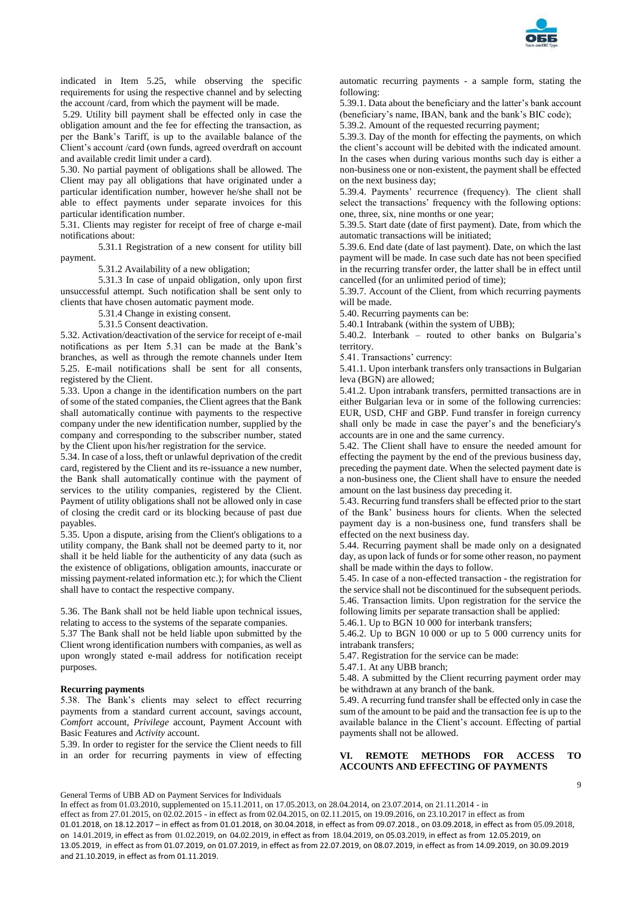

indicated in Item 5.25, while observing the specific requirements for using the respective channel and by selecting the account /card, from which the payment will be made.

5.29. Utility bill payment shall be effected only in case the obligation amount and the fee for effecting the transaction, as per the Bank's Tariff, is up to the available balance of the Client's account /card (own funds, agreed overdraft on account and available credit limit under a card).

5.30. No partial payment of obligations shall be allowed. The Client may pay all obligations that have originated under a particular identification number, however he/she shall not be able to effect payments under separate invoices for this particular identification number.

5.31. Clients may register for receipt of free of charge e-mail notifications about:

5.31.1 Registration of a new consent for utility bill payment.

5.31.2 Availability of a new obligation;

5.31.3 In case of unpaid obligation, only upon first unsuccessful attempt. Such notification shall be sent only to clients that have chosen automatic payment mode.

5.31.4 Change in existing consent.

5.31.5 Consent deactivation.

5.32. Activation/deactivation of the service for receipt of e-mail notifications as per Item 5.31 can be made at the Bank's branches, as well as through the remote channels under Item 5.25. E-mail notifications shall be sent for all consents, registered by the Client.

5.33. Upon a change in the identification numbers on the part of some of the stated companies, the Client agrees that the Bank shall automatically continue with payments to the respective company under the new identification number, supplied by the company and corresponding to the subscriber number, stated by the Client upon his/her registration for the service.

5.34. In case of a loss, theft or unlawful deprivation of the credit card, registered by the Client and its re-issuance a new number, the Bank shall automatically continue with the payment of services to the utility companies, registered by the Client. Payment of utility obligations shall not be allowed only in case of closing the credit card or its blocking because of past due payables.

5.35. Upon a dispute, arising from the Client's obligations to a utility company, the Bank shall not be deemed party to it, nor shall it be held liable for the authenticity of any data (such as the existence of obligations, obligation amounts, inaccurate or missing payment-related information etc.); for which the Client shall have to contact the respective company.

5.36. The Bank shall not be held liable upon technical issues, relating to access to the systems of the separate companies.

5.37 The Bank shall not be held liable upon submitted by the Client wrong identification numbers with companies, as well as upon wrongly stated e-mail address for notification receipt purposes.

#### **Recurring payments**

5.38. The Bank's clients may select to effect recurring payments from a standard current account, savings account, *Comfort* account, *Privilege* account, Payment Account with Basic Features and *Activity* account.

5.39. In order to register for the service the Client needs to fill in an order for recurring payments in view of effecting

automatic recurring payments - a sample form, stating the following:

5.39.1. Data about the beneficiary and the latter's bank account (beneficiary's name, IBAN, bank and the bank's BIC code); 5.39.2. Amount of the requested recurring payment;

5.39.3. Day of the month for effecting the payments, on which the client's account will be debited with the indicated amount. In the cases when during various months such day is either a non-business one or non-existent, the payment shall be effected on the next business day;

5.39.4. Payments' recurrence (frequency). The client shall select the transactions' frequency with the following options: one, three, six, nine months or one year;

5.39.5. Start date (date of first payment). Date, from which the automatic transactions will be initiated;

5.39.6. End date (date of last payment). Date, on which the last payment will be made. In case such date has not been specified in the recurring transfer order, the latter shall be in effect until cancelled (for an unlimited period of time);

5.39.7. Account of the Client, from which recurring payments will be made.

5.40. Recurring payments can be:

5.40.1 Intrabank (within the system of UBB);

5.40.2. Interbank – routed to other banks on Bulgaria's territory.

5.41. Transactions' currency:

5.41.1. Upon interbank transfers only transactions in Bulgarian leva (BGN) are allowed;

5.41.2. Upon intrabank transfers, permitted transactions are in either Bulgarian leva or in some of the following currencies: EUR, USD, CHF and GBP. Fund transfer in foreign currency shall only be made in case the payer's and the beneficiary's accounts are in one and the same currency.

5.42. The Client shall have to ensure the needed amount for effecting the payment by the end of the previous business day, preceding the payment date. When the selected payment date is a non-business one, the Client shall have to ensure the needed amount on the last business day preceding it.

5.43. Recurring fund transfers shall be effected prior to the start of the Bank' business hours for clients. When the selected payment day is a non-business one, fund transfers shall be effected on the next business day.

5.44. Recurring payment shall be made only on a designated day, as upon lack of funds or for some other reason, no payment shall be made within the days to follow.

5.45. In case of a non-effected transaction - the registration for the service shall not be discontinued for the subsequent periods. 5.46. Transaction limits. Upon registration for the service the following limits per separate transaction shall be applied:

5.46.1. Up to BGN 10 000 for interbank transfers;

5.46.2. Up to BGN 10 000 or up to 5 000 currency units for intrabank transfers;

5.47. Registration for the service can be made:

5.47.1. At any UBB branch;

5.48. A submitted by the Client recurring payment order may be withdrawn at any branch of the bank.

5.49. A recurring fund transfer shall be effected only in case the sum of the amount to be paid and the transaction fee is up to the available balance in the Client's account. Effecting of partial payments shall not be allowed.

# **VI. REMOTE METHODS FOR ACCESS TO ACCOUNTS AND EFFECTING OF PAYMENTS**

General Terms of UBB AD on Payment Services for Individuals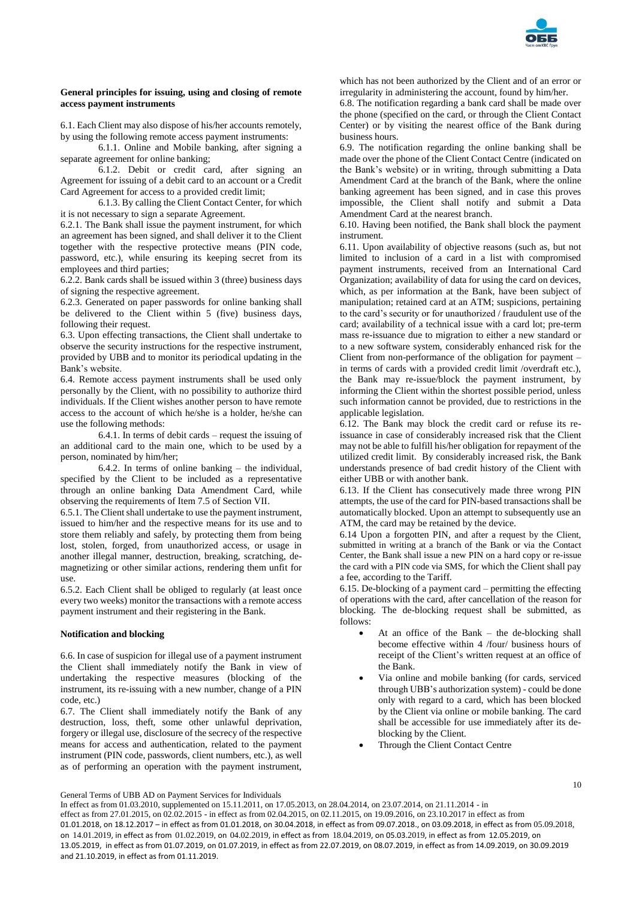

#### **General principles for issuing, using and closing of remote access payment instruments**

6.1. Each Client may also dispose of his/her accounts remotely, by using the following remote access payment instruments:

6.1.1. Online and Mobile banking, after signing a separate agreement for online banking;

6.1.2. Debit or credit card, after signing an Agreement for issuing of a debit card to an account or a Credit Card Agreement for access to a provided credit limit;

6.1.3. By calling the Client Contact Center, for which it is not necessary to sign a separate Agreement.

6.2.1. The Bank shall issue the payment instrument, for which an agreement has been signed, and shall deliver it to the Client together with the respective protective means (PIN code, password, etc.), while ensuring its keeping secret from its employees and third parties;

6.2.2. Bank cards shall be issued within 3 (three) business days of signing the respective agreement.

6.2.3. Generated on paper passwords for online banking shall be delivered to the Client within 5 (five) business days, following their request.

6.3. Upon effecting transactions, the Client shall undertake to observe the security instructions for the respective instrument, provided by UBB and to monitor its periodical updating in the Bank's website.

6.4. Remote access payment instruments shall be used only personally by the Client, with no possibility to authorize third individuals. If the Client wishes another person to have remote access to the account of which he/she is a holder, he/she can use the following methods:

6.4.1. In terms of debit cards – request the issuing of an additional card to the main one, which to be used by a person, nominated by him/her;

6.4.2. In terms of online banking – the individual, specified by the Client to be included as a representative through an online banking Data Amendment Card, while observing the requirements of Item 7.5 of Section VII.

6.5.1. The Client shall undertake to use the payment instrument, issued to him/her and the respective means for its use and to store them reliably and safely, by protecting them from being lost, stolen, forged, from unauthorized access, or usage in another illegal manner, destruction, breaking, scratching, demagnetizing or other similar actions, rendering them unfit for use.

6.5.2. Each Client shall be obliged to regularly (at least once every two weeks) monitor the transactions with a remote access payment instrument and their registering in the Bank.

#### **Notification and blocking**

6.6. In case of suspicion for illegal use of a payment instrument the Client shall immediately notify the Bank in view of undertaking the respective measures (blocking of the instrument, its re-issuing with a new number, change of a PIN code, etc.)

6.7. The Client shall immediately notify the Bank of any destruction, loss, theft, some other unlawful deprivation, forgery or illegal use, disclosure of the secrecy of the respective means for access and authentication, related to the payment instrument (PIN code, passwords, client numbers, etc.), as well as of performing an operation with the payment instrument,

which has not been authorized by the Client and of an error or irregularity in administering the account, found by him/her.

6.8. The notification regarding a bank card shall be made over the phone (specified on the card, or through the Client Contact Center) or by visiting the nearest office of the Bank during business hours.

6.9. The notification regarding the online banking shall be made over the phone of the Client Contact Centre (indicated on the Bank's website) or in writing, through submitting a Data Amendment Card at the branch of the Bank, where the online banking agreement has been signed, and in case this proves impossible, the Client shall notify and submit a Data Amendment Card at the nearest branch.

6.10. Having been notified, the Bank shall block the payment instrument.

6.11. Upon availability of objective reasons (such as, but not limited to inclusion of a card in a list with compromised payment instruments, received from an International Card Organization; availability of data for using the card on devices, which, as per information at the Bank, have been subject of manipulation; retained card at an ATM; suspicions, pertaining to the card's security or for unauthorized / fraudulent use of the card; availability of a technical issue with a card lot; pre-term mass re-issuance due to migration to either a new standard or to a new software system, considerably enhanced risk for the Client from non-performance of the obligation for payment – in terms of cards with a provided credit limit /overdraft etc.), the Bank may re-issue/block the payment instrument, by informing the Client within the shortest possible period, unless such information cannot be provided, due to restrictions in the applicable legislation.

6.12. The Bank may block the credit card or refuse its reissuance in case of considerably increased risk that the Client may not be able to fulfill his/her obligation for repayment of the utilized credit limit. By considerably increased risk, the Bank understands presence of bad credit history of the Client with either UBB or with another bank.

6.13. If the Client has consecutively made three wrong PIN attempts, the use of the card for PIN-based transactions shall be automatically blocked. Upon an attempt to subsequently use an ATM, the card may be retained by the device.

6.14 Upon a forgotten PIN, and after a request by the Client, submitted in writing at a branch of the Bank or via the Contact Center, the Bank shall issue a new PIN on a hard copy or re-issue the card with a PIN code via SMS, for which the Client shall pay a fee, according to the Tariff.

6.15. De-blocking of a payment card – permitting the effecting of operations with the card, after cancellation of the reason for blocking. The de-blocking request shall be submitted, as follows:

- At an office of the Bank the de-blocking shall become effective within 4 /four/ business hours of receipt of the Client's written request at an office of the Bank.
- Via online and mobile banking (for cards, serviced through UBB's authorization system) - could be done only with regard to a card, which has been blocked by the Client via online or mobile banking. The card shall be accessible for use immediately after its deblocking by the Client.
- Through the Client Contact Centre

10

General Terms of UBB AD on Payment Services for Individuals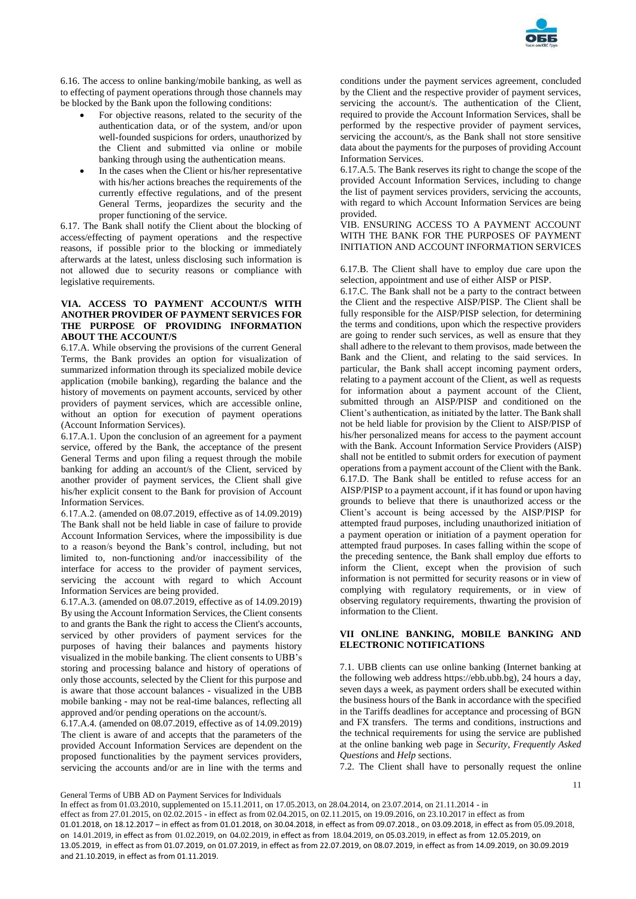

6.16. The access to online banking/mobile banking, as well as to effecting of payment operations through those channels may be blocked by the Bank upon the following conditions:

- For objective reasons, related to the security of the authentication data, or of the system, and/or upon well-founded suspicions for orders, unauthorized by the Client and submitted via online or mobile banking through using the authentication means.
- In the cases when the Client or his/her representative with his/her actions breaches the requirements of the currently effective regulations, and of the present General Terms, jeopardizes the security and the proper functioning of the service.

6.17. The Bank shall notify the Client about the blocking of access/effecting of payment operations and the respective reasons, if possible prior to the blocking or immediately afterwards at the latest, unless disclosing such information is not allowed due to security reasons or compliance with legislative requirements.

# **VIA. ACCESS TO PAYMENT ACCOUNT/S WITH ANOTHER PROVIDER OF PAYMENT SERVICES FOR THE PURPOSE OF PROVIDING INFORMATION ABOUT THE ACCOUNT/S**

6.17.A. While observing the provisions of the current General Terms, the Bank provides an option for visualization of summarized information through its specialized mobile device application (mobile banking), regarding the balance and the history of movements on payment accounts, serviced by other providers of payment services, which are accessible online, without an option for execution of payment operations (Account Information Services).

6.17.A.1. Upon the conclusion of an agreement for a payment service, offered by the Bank, the acceptance of the present General Terms and upon filing a request through the mobile banking for adding an account/s of the Client, serviced by another provider of payment services, the Client shall give his/her explicit consent to the Bank for provision of Account Information Services.

6.17.А.2. (amended on 08.07.2019, effective as of 14.09.2019) The Bank shall not be held liable in case of failure to provide Account Information Services, where the impossibility is due to a reason/s beyond the Bank's control, including, but not limited to, non-functioning and/or inaccessibility of the interface for access to the provider of payment services, servicing the account with regard to which Account Information Services are being provided.

6.17.A.3. (amended on 08.07.2019, effective as of 14.09.2019) By using the Account Information Services, the Client consents to and grants the Bank the right to access the Client's accounts, serviced by other providers of payment services for the purposes of having their balances and payments history visualized in the mobile banking. The client consents to UBB's storing and processing balance and history of operations of only those accounts, selected by the Client for this purpose and is aware that those account balances - visualized in the UBB mobile banking - may not be real-time balances, reflecting all approved and/or pending operations on the account/s.

6.17.A.4. (amended on 08.07.2019, effective as of 14.09.2019) The client is aware of and accepts that the parameters of the provided Account Information Services are dependent on the proposed functionalities by the payment services providers, servicing the accounts and/or are in line with the terms and

conditions under the payment services agreement, concluded by the Client and the respective provider of payment services, servicing the account/s. The authentication of the Client, required to provide the Account Information Services, shall be performed by the respective provider of payment services, servicing the account/s, as the Bank shall not store sensitive data about the payments for the purposes of providing Account Information Services.

6.17.A.5. The Bank reserves its right to change the scope of the provided Account Information Services, including to change the list of payment services providers, servicing the accounts, with regard to which Account Information Services are being provided.

VIB. ENSURING ACCESS TO A PAYMENT ACCOUNT WITH THE BANK FOR THE PURPOSES OF PAYMENT INITIATION AND ACCOUNT INFORMATION SERVICES

6.17.B. The Client shall have to employ due care upon the selection, appointment and use of either AISP or PISP.

6.17.C. The Bank shall not be a party to the contract between the Client and the respective AISP/PISP. The Client shall be fully responsible for the AISP/PISP selection, for determining the terms and conditions, upon which the respective providers are going to render such services, as well as ensure that they shall adhere to the relevant to them provisos, made between the Bank and the Client, and relating to the said services. In particular, the Bank shall accept incoming payment orders, relating to a payment account of the Client, as well as requests for information about a payment account of the Client, submitted through an AISP/PISP and conditioned on the Client's authentication, as initiated by the latter. The Bank shall not be held liable for provision by the Client to AISP/PISP of his/her personalized means for access to the payment account with the Bank. Account Information Service Providers (AISP) shall not be entitled to submit orders for execution of payment operations from a payment account of the Client with the Bank. 6.17.D. The Bank shall be entitled to refuse access for an AISP/PISP to a payment account, if it has found or upon having grounds to believe that there is unauthorized access or the Client's account is being accessed by the AISP/PISP for attempted fraud purposes, including unauthorized initiation of a payment operation or initiation of a payment operation for attempted fraud purposes. In cases falling within the scope of the preceding sentence, the Bank shall employ due efforts to inform the Client, except when the provision of such information is not permitted for security reasons or in view of complying with regulatory requirements, or in view of observing regulatory requirements, thwarting the provision of information to the Client.

# **VII ONLINE BANKING, MOBILE BANKING AND ELECTRONIC NOTIFICATIONS**

7.1. UBB clients can use online banking (Internet banking at the following web address https://ebb.ubb.bg), 24 hours a day, seven days a week, as payment orders shall be executed within the business hours of the Bank in accordance with the specified in the Tariffs deadlines for acceptance and processing of BGN and FX transfers. The terms and conditions, instructions and the technical requirements for using the service are published at the online banking web page in *Security*, *Frequently Asked Questions* and *Help* sections.

7.2. The Client shall have to personally request the online

11

General Terms of UBB AD on Payment Services for Individuals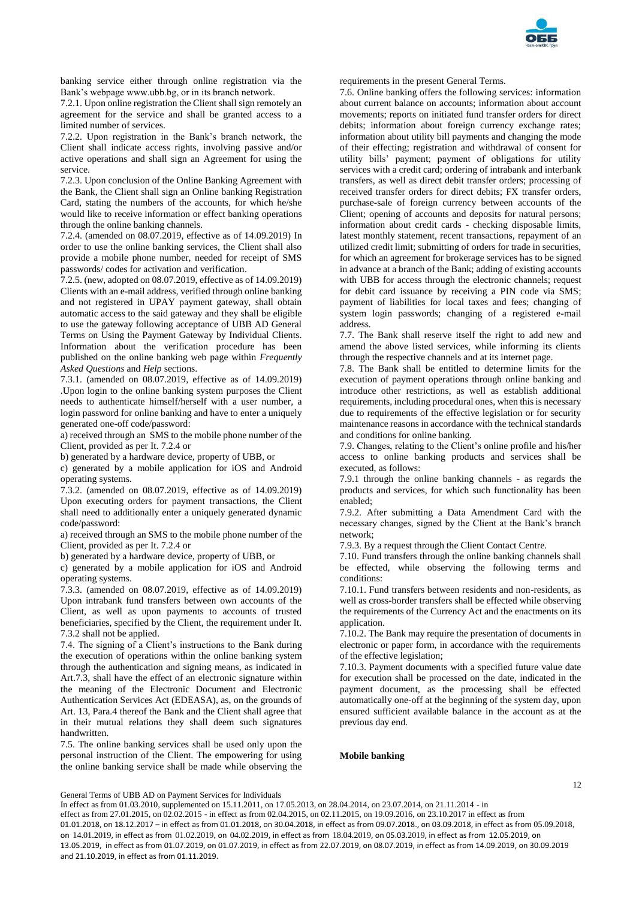

banking service either through online registration via the Bank's webpage www.ubb.bg, or in its branch network.

7.2.1. Upon online registration the Client shall sign remotely an agreement for the service and shall be granted access to a limited number of services.

7.2.2. Upon registration in the Bank's branch network, the Client shall indicate access rights, involving passive and/or active operations and shall sign an Agreement for using the service.

7.2.3. Upon conclusion of the Online Banking Agreement with the Bank, the Client shall sign an Online banking Registration Card, stating the numbers of the accounts, for which he/she would like to receive information or effect banking operations through the online banking channels.

7.2.4. (amended on 08.07.2019, effective as of 14.09.2019) In order to use the online banking services, the Client shall also provide a mobile phone number, needed for receipt of SMS passwords/ codes for activation and verification.

7.2.5. (new, adopted on 08.07.2019, effective as of 14.09.2019) Clients with an e-mail address, verified through online banking and not registered in UPAY payment gateway, shall obtain automatic access to the said gateway and they shall be eligible to use the gateway following acceptance of UBB AD General Terms on Using the Payment Gateway by Individual Clients. Information about the verification procedure has been published on the online banking web page within *Frequently Asked Questions* and *Help* sections.

7.3.1. (amended on 08.07.2019, effective as of 14.09.2019) .Upon login to the online banking system purposes the Client needs to authenticate himself/herself with a user number, a login password for online banking and have to enter a uniquely generated one-off code/password:

a) received through an SMS to the mobile phone number of the Client, provided as per It. 7.2.4 or

b) generated by a hardware device, property of UBB, or

c) generated by a mobile application for iOS and Android operating systems.

7.3.2. (amended on 08.07.2019, effective as of 14.09.2019) Upon executing orders for payment transactions, the Client shall need to additionally enter a uniquely generated dynamic code/password:

a) received through an SMS to the mobile phone number of the Client, provided as per It. 7.2.4 or

b) generated by a hardware device, property of UBB, or

c) generated by a mobile application for iOS and Android operating systems.

7.3.3. (amended on 08.07.2019, effective as of 14.09.2019) Upon intrabank fund transfers between own accounts of the Client, as well as upon payments to accounts of trusted beneficiaries, specified by the Client, the requirement under It. 7.3.2 shall not be applied.

7.4. The signing of a Client's instructions to the Bank during the execution of operations within the online banking system through the authentication and signing means, as indicated in Art.7.3, shall have the effect of an electronic signature within the meaning of the Electronic Document and Electronic Authentication Services Act (EDEASA), as, on the grounds of Art. 13, Para.4 thereof the Bank and the Client shall agree that in their mutual relations they shall deem such signatures handwritten.

7.5. The online banking services shall be used only upon the personal instruction of the Client. The empowering for using the online banking service shall be made while observing the

requirements in the present General Terms.

7.6. Online banking offers the following services: information about current balance on accounts; information about account movements; reports on initiated fund transfer orders for direct debits; information about foreign currency exchange rates; information about utility bill payments and changing the mode of their effecting; registration and withdrawal of consent for utility bills' payment; payment of obligations for utility services with a credit card; ordering of intrabank and interbank transfers, as well as direct debit transfer orders; processing of received transfer orders for direct debits; FX transfer orders, purchase-sale of foreign currency between accounts of the Client; opening of accounts and deposits for natural persons; information about credit cards - checking disposable limits, latest monthly statement, recent transactions, repayment of an utilized credit limit; submitting of orders for trade in securities, for which an agreement for brokerage services has to be signed in advance at a branch of the Bank; adding of existing accounts with UBB for access through the electronic channels; request for debit card issuance by receiving a PIN code via SMS; payment of liabilities for local taxes and fees; changing of system login passwords; changing of a registered e-mail address.

7.7. The Bank shall reserve itself the right to add new and amend the above listed services, while informing its clients through the respective channels and at its internet page.

7.8. The Bank shall be entitled to determine limits for the execution of payment operations through online banking and introduce other restrictions, as well as establish additional requirements, including procedural ones, when this is necessary due to requirements of the effective legislation or for security maintenance reasons in accordance with the technical standards and conditions for online banking.

7.9. Changes, relating to the Client's online profile and his/her access to online banking products and services shall be executed, as follows:

7.9.1 through the online banking channels - as regards the products and services, for which such functionality has been enabled;

7.9.2. After submitting a Data Amendment Card with the necessary changes, signed by the Client at the Bank's branch network;

7.9.3. By a request through the Client Contact Centre.

7.10. Fund transfers through the online banking channels shall be effected, while observing the following terms and conditions:

7.10.1. Fund transfers between residents and non-residents, as well as cross-border transfers shall be effected while observing the requirements of the Currency Act and the enactments on its application.

7.10.2. The Bank may require the presentation of documents in electronic or paper form, in accordance with the requirements of the effective legislation;

7.10.3. Payment documents with a specified future value date for execution shall be processed on the date, indicated in the payment document, as the processing shall be effected automatically one-off at the beginning of the system day, upon ensured sufficient available balance in the account as at the previous day end.

#### **Mobile banking**

General Terms of UBB AD on Payment Services for Individuals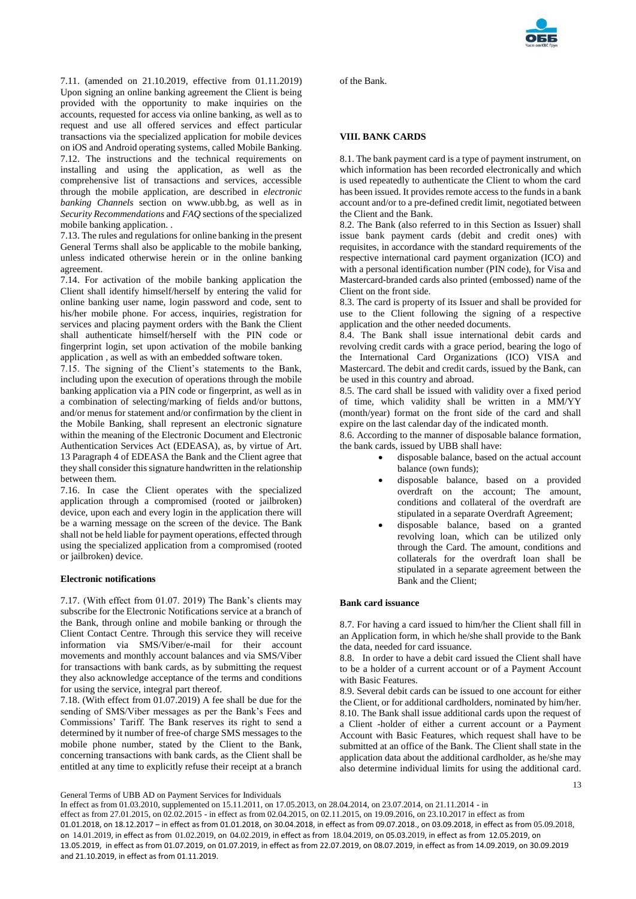7.11. (amended on 21.10.2019, effective from 01.11.2019) Upon signing an online banking agreement the Client is being provided with the opportunity to make inquiries on the accounts, requested for access via online banking, as well as to request and use all offered services and effect particular transactions via the specialized application for mobile devices on iOS and Android operating systems, called Mobile Banking. 7.12. The instructions and the technical requirements on installing and using the application, as well as the comprehensive list of transactions and services, accessible through the mobile application, are described in *electronic banking Channels* section on www.ubb.bg, as well as in *Security Recommendations* and *FAQ* sections of the specialized mobile banking application. .

7.13. The rules and regulations for online banking in the present General Terms shall also be applicable to the mobile banking, unless indicated otherwise herein or in the online banking agreement.

7.14. For activation of the mobile banking application the Client shall identify himself/herself by entering the valid for online banking user name, login password and code, sent to his/her mobile phone. For access, inquiries, registration for services and placing payment orders with the Bank the Client shall authenticate himself/herself with the PIN code or fingerprint login, set upon activation of the mobile banking application , as well as with an embedded software token.

7.15. The signing of the Client's statements to the Bank, including upon the execution of operations through the mobile banking application via a PIN code or fingerprint, as well as in a combination of selecting/marking of fields and/or buttons, and/or menus for statement and/or confirmation by the client in the Mobile Banking, shall represent an electronic signature within the meaning of the Electronic Document and Electronic Authentication Services Act (EDEASA), as, by virtue of Art. 13 Paragraph 4 of EDEASA the Bank and the Client agree that they shall consider this signature handwritten in the relationship between them.

7.16. In case the Client operates with the specialized application through a compromised (rooted or jailbroken) device, upon each and every login in the application there will be a warning message on the screen of the device. The Bank shall not be held liable for payment operations, effected through using the specialized application from a compromised (rooted or jailbroken) device.

#### **Electronic notifications**

7.17. (With effect from 01.07. 2019) The Bank's clients may subscribe for the Electronic Notifications service at a branch of the Bank, through online and mobile banking or through the Client Contact Centre. Through this service they will receive information via SMS/Viber/e-mail for their account movements and monthly account balances and via SMS/Viber for transactions with bank cards, as by submitting the request they also acknowledge acceptance of the terms and conditions for using the service, integral part thereof.

7.18. (With effect from 01.07.2019) A fee shall be due for the sending of SMS/Viber messages as per the Bank's Fees and Commissions' Tariff. The Bank reserves its right to send a determined by it number of free-of charge SMS messages to the mobile phone number, stated by the Client to the Bank, concerning transactions with bank cards, as the Client shall be entitled at any time to explicitly refuse their receipt at a branch

of the Bank.

# **VIII. BANK CARDS**

8.1. The bank payment card is a type of payment instrument, on which information has been recorded electronically and which is used repeatedly to authenticate the Client to whom the card has been issued. It provides remote access to the funds in a bank account and/or to a pre-defined credit limit, negotiated between the Client and the Bank.

8.2. The Bank (also referred to in this Section as Issuer) shall issue bank payment cards (debit and credit ones) with requisites, in accordance with the standard requirements of the respective international card payment organization (ICO) and with a personal identification number (PIN code), for Visa and Mastercard-branded cards also printed (embossed) name of the Client on the front side.

8.3. The card is property of its Issuer and shall be provided for use to the Client following the signing of a respective application and the other needed documents.

8.4. The Bank shall issue international debit cards and revolving credit cards with a grace period, bearing the logo of the International Card Organizations (ICO) VISA and Mastercard. The debit and credit cards, issued by the Bank, can be used in this country and abroad.

8.5. The card shall be issued with validity over a fixed period of time, which validity shall be written in a MM/YY (month/year) format on the front side of the card and shall expire on the last calendar day of the indicated month.

8.6. According to the manner of disposable balance formation, the bank cards, issued by UBB shall have:

- disposable balance, based on the actual account balance (own funds);
- disposable balance, based on a provided overdraft on the account; The amount, conditions and collateral of the overdraft are stipulated in a separate Overdraft Agreement;
- disposable balance, based on a granted revolving loan, which can be utilized only through the Card. The amount, conditions and collaterals for the overdraft loan shall be stipulated in a separate agreement between the Bank and the Client;

# **Bank card issuance**

8.7. For having a card issued to him/her the Client shall fill in an Application form, in which he/she shall provide to the Bank the data, needed for card issuance.

8.8. In order to have a debit card issued the Client shall have to be a holder of a current account or of a Payment Account with Basic Features.

8.9. Several debit cards can be issued to one account for either the Client, or for additional cardholders, nominated by him/her. 8.10. The Bank shall issue additional cards upon the request of a Client -holder of either a current account or a Payment Account with Basic Features, which request shall have to be submitted at an office of the Bank. The Client shall state in the application data about the additional cardholder, as he/she may also determine individual limits for using the additional card.

General Terms of UBB AD on Payment Services for Individuals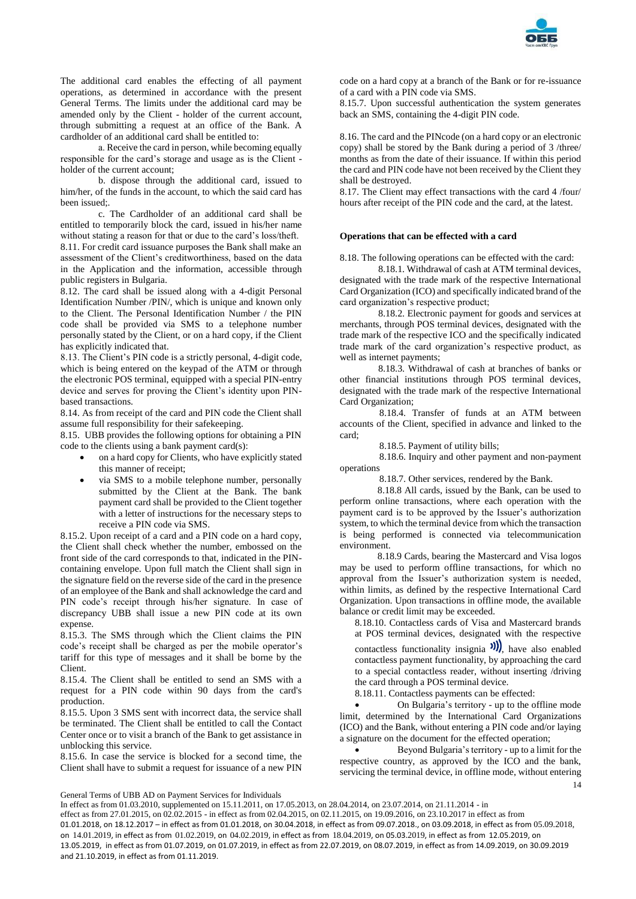

The additional card enables the effecting of all payment operations, as determined in accordance with the present General Terms. The limits under the additional card may be amended only by the Client - holder of the current account, through submitting a request at an office of the Bank. A cardholder of an additional card shall be entitled to:

а. Receive the card in person, while becoming equally responsible for the card's storage and usage as is the Client holder of the current account;

b. dispose through the additional card, issued to him/her, of the funds in the account, to which the said card has been issued;.

c. The Cardholder of an additional card shall be entitled to temporarily block the card, issued in his/her name without stating a reason for that or due to the card's loss/theft. 8.11. For credit card issuance purposes the Bank shall make an assessment of the Client's creditworthiness, based on the data in the Application and the information, accessible through public registers in Bulgaria.

8.12. The card shall be issued along with a 4-digit Personal Identification Number /PIN/, which is unique and known only to the Client. The Personal Identification Number / the PIN code shall be provided via SMS to a telephone number personally stated by the Client, or on a hard copy, if the Client has explicitly indicated that.

8.13. The Client's PIN code is a strictly personal, 4-digit code, which is being entered on the keypad of the ATM or through the electronic POS terminal, equipped with a special PIN-entry device and serves for proving the Client's identity upon PINbased transactions.

8.14. As from receipt of the card and PIN code the Client shall assume full responsibility for their safekeeping.

8.15. UBB provides the following options for obtaining a PIN code to the clients using a bank payment card(s):

- on a hard copy for Clients, who have explicitly stated this manner of receipt;
- via SMS to a mobile telephone number, personally submitted by the Client at the Bank. The bank payment card shall be provided to the Client together with a letter of instructions for the necessary steps to receive a PIN code via SMS.

8.15.2. Upon receipt of a card and a PIN code on a hard copy, the Client shall check whether the number, embossed on the front side of the card corresponds to that, indicated in the PINcontaining envelope. Upon full match the Client shall sign in the signature field on the reverse side of the card in the presence of an employee of the Bank and shall acknowledge the card and PIN code's receipt through his/her signature. In case of discrepancy UBB shall issue a new PIN code at its own expense.

8.15.3. The SMS through which the Client claims the PIN code's receipt shall be charged as per the mobile operator's tariff for this type of messages and it shall be borne by the Client.

8.15.4. The Client shall be entitled to send an SMS with a request for a PIN code within 90 days from the card's production.

8.15.5. Upon 3 SMS sent with incorrect data, the service shall be terminated. The Client shall be entitled to call the Contact Center once or to visit a branch of the Bank to get assistance in unblocking this service.

8.15.6. In case the service is blocked for a second time, the Client shall have to submit a request for issuance of a new PIN

code on a hard copy at a branch of the Bank or for re-issuance of a card with a PIN code via SMS.

8.15.7. Upon successful authentication the system generates back an SMS, containing the 4-digit PIN code.

8.16. The card and the PINcode (on a hard copy or an electronic copy) shall be stored by the Bank during a period of 3 /three/ months as from the date of their issuance. If within this period the card and PIN code have not been received by the Client they shall be destroyed.

8.17. The Client may effect transactions with the card 4 /four/ hours after receipt of the PIN code and the card, at the latest.

# **Operations that can be effected with a card**

8.18. The following operations can be effected with the card:

8.18.1. Withdrawal of cash at ATM terminal devices, designated with the trade mark of the respective International Card Organization (ICO) and specifically indicated brand of the card organization's respective product;

8.18.2. Electronic payment for goods and services at merchants, through POS terminal devices, designated with the trade mark of the respective ICO and the specifically indicated trade mark of the card organization's respective product, as well as internet payments;

8.18.3. Withdrawal of cash at branches of banks or other financial institutions through POS terminal devices, designated with the trade mark of the respective International Card Organization;

8.18.4. Transfer of funds at an ATM between accounts of the Client, specified in advance and linked to the card;

8.18.5. Payment of utility bills;

8.18.6. Inquiry and other payment and non-payment operations

8.18.7. Other services, rendered by the Bank.

8.18.8 All cards, issued by the Bank, can be used to perform online transactions, where each operation with the payment card is to be approved by the Issuer's authorization system, to which the terminal device from which the transaction is being performed is connected via telecommunication environment.

8.18.9 Cards, bearing the Mastercard and Visa logos may be used to perform offline transactions, for which no approval from the Issuer's authorization system is needed, within limits, as defined by the respective International Card Organization. Upon transactions in offline mode, the available balance or credit limit may be exceeded.

8.18.10. Contactless cards of Visa and Mastercard brands at POS terminal devices, designated with the respective

contactless functionality insignia  $\mathcal{W}$ , have also enabled contactless payment functionality, by approaching the card to a special contactless reader, without inserting /driving the card through a POS terminal device.

8.18.11. Contactless payments can be effected:

 On Bulgaria's territory - up to the offline mode limit, determined by the International Card Organizations (ICO) and the Bank, without entering a PIN code and/or laying a signature on the document for the effected operation;

14 Beyond Bulgaria's territory - up to a limit for the respective country, as approved by the ICO and the bank, servicing the terminal device, in offline mode, without entering

General Terms of UBB AD on Payment Services for Individuals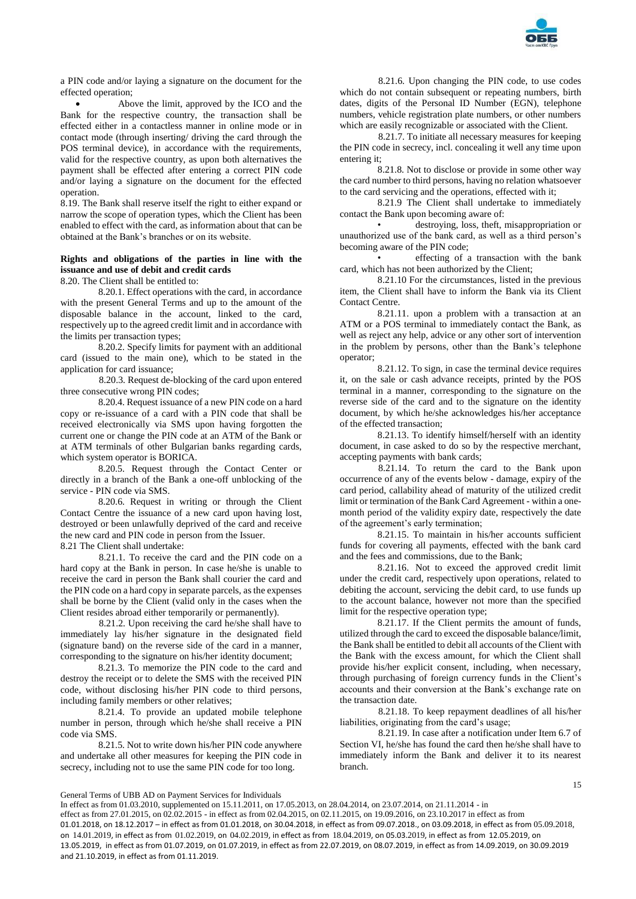

a PIN code and/or laying a signature on the document for the effected operation;

 Above the limit, approved by the ICO and the Bank for the respective country, the transaction shall be effected either in a contactless manner in online mode or in contact mode (through inserting/ driving the card through the POS terminal device), in accordance with the requirements, valid for the respective country, as upon both alternatives the payment shall be effected after entering a correct PIN code and/or laying a signature on the document for the effected operation.

8.19. The Bank shall reserve itself the right to either expand or narrow the scope of operation types, which the Client has been enabled to effect with the card, as information about that can be obtained at the Bank's branches or on its website.

# **Rights and obligations of the parties in line with the issuance and use of debit and credit cards**

8.20. The Client shall be entitled to:

8.20.1. Effect operations with the card, in accordance with the present General Terms and up to the amount of the disposable balance in the account, linked to the card, respectively up to the agreed credit limit and in accordance with the limits per transaction types;

8.20.2. Specify limits for payment with an additional card (issued to the main one), which to be stated in the application for card issuance;

8.20.3. Request de-blocking of the card upon entered three consecutive wrong PIN codes;

8.20.4. Request issuance of a new PIN code on a hard copy or re-issuance of a card with a PIN code that shall be received electronically via SMS upon having forgotten the current one or change the PIN code at an ATM of the Bank or at ATM terminals of other Bulgarian banks regarding cards, which system operator is BORICA.

8.20.5. Request through the Contact Center or directly in a branch of the Bank a one-off unblocking of the service - PIN code via SMS.

8.20.6. Request in writing or through the Client Contact Centre the issuance of a new card upon having lost, destroyed or been unlawfully deprived of the card and receive the new card and PIN code in person from the Issuer. 8.21 The Client shall undertake:

8.21.1. To receive the card and the PIN code on a hard copy at the Bank in person. In case he/she is unable to receive the card in person the Bank shall courier the card and the PIN code on a hard copy in separate parcels, as the expenses shall be borne by the Client (valid only in the cases when the Client resides abroad either temporarily or permanently).

8.21.2. Upon receiving the card he/she shall have to immediately lay his/her signature in the designated field (signature band) on the reverse side of the card in a manner, corresponding to the signature on his/her identity document;

8.21.3. To memorize the PIN code to the card and destroy the receipt or to delete the SMS with the received PIN code, without disclosing his/her PIN code to third persons, including family members or other relatives;

8.21.4. To provide an updated mobile telephone number in person, through which he/she shall receive a PIN code via SMS.

8.21.5. Not to write down his/her PIN code anywhere and undertake all other measures for keeping the PIN code in secrecy, including not to use the same PIN code for too long.

8.21.6. Upon changing the PIN code, to use codes which do not contain subsequent or repeating numbers, birth dates, digits of the Personal ID Number (EGN), telephone numbers, vehicle registration plate numbers, or other numbers which are easily recognizable or associated with the Client.

8.21.7. To initiate all necessary measures for keeping the PIN code in secrecy, incl. concealing it well any time upon entering it;

8.21.8. Not to disclose or provide in some other way the card number to third persons, having no relation whatsoever to the card servicing and the operations, effected with it;

8.21.9 The Client shall undertake to immediately contact the Bank upon becoming aware of:

• destroying, loss, theft, misappropriation or unauthorized use of the bank card, as well as a third person's becoming aware of the PIN code;

• effecting of a transaction with the bank card, which has not been authorized by the Client;

8.21.10 For the circumstances, listed in the previous item, the Client shall have to inform the Bank via its Client Contact Centre.

8.21.11. upon a problem with a transaction at an ATM or a POS terminal to immediately contact the Bank, as well as reject any help, advice or any other sort of intervention in the problem by persons, other than the Bank's telephone operator;

8.21.12. To sign, in case the terminal device requires it, on the sale or cash advance receipts, printed by the POS terminal in a manner, corresponding to the signature on the reverse side of the card and to the signature on the identity document, by which he/she acknowledges his/her acceptance of the effected transaction;

8.21.13. To identify himself/herself with an identity document, in case asked to do so by the respective merchant, accepting payments with bank cards;

8.21.14. To return the card to the Bank upon occurrence of any of the events below - damage, expiry of the card period, callability ahead of maturity of the utilized credit limit or termination of the Bank Card Agreement - within a onemonth period of the validity expiry date, respectively the date of the agreement's early termination;

8.21.15. To maintain in his/her accounts sufficient funds for covering all payments, effected with the bank card and the fees and commissions, due to the Bank;

8.21.16. Not to exceed the approved credit limit under the credit card, respectively upon operations, related to debiting the account, servicing the debit card, to use funds up to the account balance, however not more than the specified limit for the respective operation type;

8.21.17. If the Client permits the amount of funds, utilized through the card to exceed the disposable balance/limit, the Bank shall be entitled to debit all accounts of the Client with the Bank with the excess amount, for which the Client shall provide his/her explicit consent, including, when necessary, through purchasing of foreign currency funds in the Client's accounts and their conversion at the Bank's exchange rate on the transaction date.

8.21.18. To keep repayment deadlines of all his/her liabilities, originating from the card's usage;

8.21.19. In case after a notification under Item 6.7 of Section VI, he/she has found the card then he/she shall have to immediately inform the Bank and deliver it to its nearest branch.

General Terms of UBB AD on Payment Services for Individuals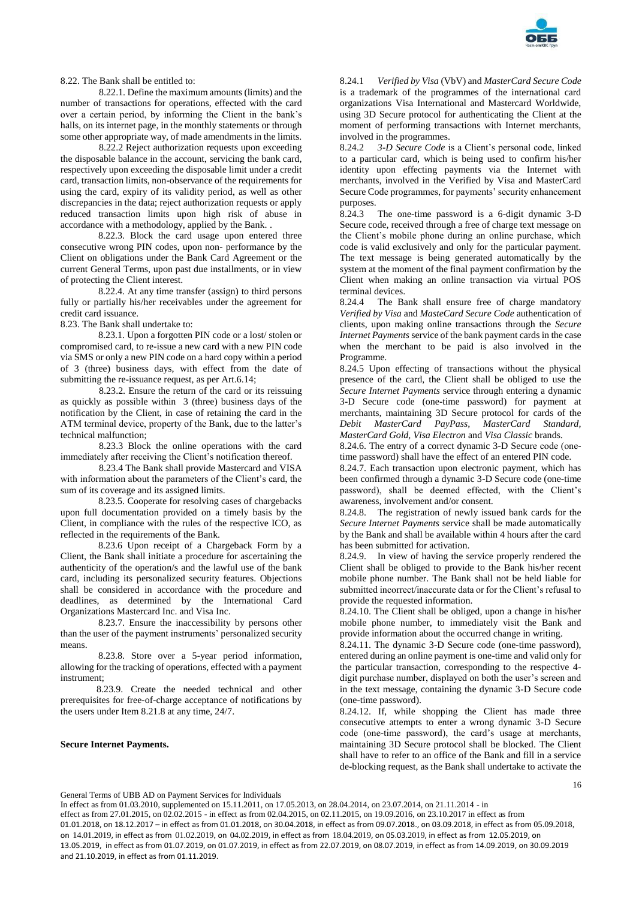

8.22. The Bank shall be entitled to:

8.22.1. Define the maximum amounts (limits) and the number of transactions for operations, effected with the card over a certain period, by informing the Client in the bank's halls, on its internet page, in the monthly statements or through some other appropriate way, of made amendments in the limits.

8.22.2 Reject authorization requests upon exceeding the disposable balance in the account, servicing the bank card, respectively upon exceeding the disposable limit under a credit card, transaction limits, non-observance of the requirements for using the card, expiry of its validity period, as well as other discrepancies in the data; reject authorization requests or apply reduced transaction limits upon high risk of abuse in accordance with a methodology, applied by the Bank. .

8.22.3. Block the card usage upon entered three consecutive wrong PIN codes, upon non- performance by the Client on obligations under the Bank Card Agreement or the current General Terms, upon past due installments, or in view of protecting the Client interest.

8.22.4. At any time transfer (assign) to third persons fully or partially his/her receivables under the agreement for credit card issuance.

8.23. The Bank shall undertake to:

8.23.1. Upon a forgotten PIN code or a lost/ stolen or compromised card, to re-issue a new card with a new PIN code via SMS or only a new PIN code on a hard copy within a period of 3 (three) business days, with effect from the date of submitting the re-issuance request, as per Art.6.14;

8.23.2. Ensure the return of the card or its reissuing as quickly as possible within 3 (three) business days of the notification by the Client, in case of retaining the card in the ATM terminal device, property of the Bank, due to the latter's technical malfunction;

8.23.3 Block the online operations with the card immediately after receiving the Client's notification thereof.

8.23.4 The Bank shall provide Mastercard and VISA with information about the parameters of the Client's card, the sum of its coverage and its assigned limits.

8.23.5. Cooperate for resolving cases of chargebacks upon full documentation provided on a timely basis by the Client, in compliance with the rules of the respective ICO, as reflected in the requirements of the Bank.

8.23.6 Upon receipt of a Chargeback Form by a Client, the Bank shall initiate a procedure for ascertaining the authenticity of the operation/s and the lawful use of the bank card, including its personalized security features. Objections shall be considered in accordance with the procedure and deadlines, as determined by the International Card Organizations Mastercard Inc. and Visa Inc.

8.23.7. Ensure the inaccessibility by persons other than the user of the payment instruments' personalized security means.

8.23.8. Store over a 5-year period information, allowing for the tracking of operations, effected with a payment instrument;

 8.23.9. Create the needed technical and other prerequisites for free-of-charge acceptance of notifications by the users under Item 8.21.8 at any time, 24/7.

#### **Secure Internet Payments.**

8.24.1 *Verified by Visa* (VbV) and *MasterCard Secure Code* is a trademark of the programmes of the international card organizations Visa International and Mastercard Worldwide, using 3D Secure protocol for authenticating the Client at the moment of performing transactions with Internet merchants, involved in the programmes.

8.24.2 *3-D Secure Code* is a Client's personal code, linked to a particular card, which is being used to confirm his/her identity upon effecting payments via the Internet with merchants, involved in the Verified by Visa and MasterCard Secure Code programmes, for payments' security enhancement purposes.

8.24.3 The one-time password is a 6-digit dynamic 3-D Secure code, received through a free of charge text message on the Client's mobile phone during an online purchase, which code is valid exclusively and only for the particular payment. The text message is being generated automatically by the system at the moment of the final payment confirmation by the Client when making an online transaction via virtual POS terminal devices.

8.24.4 The Bank shall ensure free of charge mandatory *Verified by Visa* and *MasteCard Secure Code* authentication of clients, upon making online transactions through the *Secure Internet Payments* service of the bank payment cards in the case when the merchant to be paid is also involved in the Programme.

8.24.5 Upon effecting of transactions without the physical presence of the card, the Client shall be obliged to use the *Secure Internet Payments* service through entering a dynamic 3-D Secure code (one-time password) for payment at merchants, maintaining 3D Secure protocol for cards of the *Debit MasterCard PayPass, MasterCard Standard, MasterCard Gold, Visa Electron* and *Visa Classic* brands.

8.24.6. The entry of a correct dynamic 3-D Secure code (оnetime password) shall have the effect of an entered PIN code.

8.24.7. Each transaction upon electronic payment, which has been confirmed through a dynamic 3-D Secure code (one-time password), shall be deemed effected, with the Client's awareness, involvement and/or consent.

8.24.8. The registration of newly issued bank cards for the *Secure Internet Payments* service shall be made automatically by the Bank and shall be available within 4 hours after the card has been submitted for activation.

8.24.9. In view of having the service properly rendered the Client shall be obliged to provide to the Bank his/her recent mobile phone number. The Bank shall not be held liable for submitted incorrect/inaccurate data or for the Client's refusal to provide the requested information.

8.24.10. The Client shall be obliged, upon a change in his/her mobile phone number, to immediately visit the Bank and provide information about the occurred change in writing.

8.24.11. The dynamic 3-D Secure code (one-time password), entered during an online payment is one-time and valid only for the particular transaction, corresponding to the respective 4 digit purchase number, displayed on both the user's screen and in the text message, containing the dynamic 3-D Secure code (one-time password).

8.24.12. If, while shopping the Client has made three consecutive attempts to enter a wrong dynamic 3-D Secure code (оne-time password), the card's usage at merchants, maintaining 3D Secure protocol shall be blocked. The Client shall have to refer to an office of the Bank and fill in a service de-blocking request, as the Bank shall undertake to activate the

General Terms of UBB AD on Payment Services for Individuals

In effect as from 01.03.2010, supplemented on 15.11.2011, on 17.05.2013, on 28.04.2014, on 23.07.2014, on 21.11.2014 - in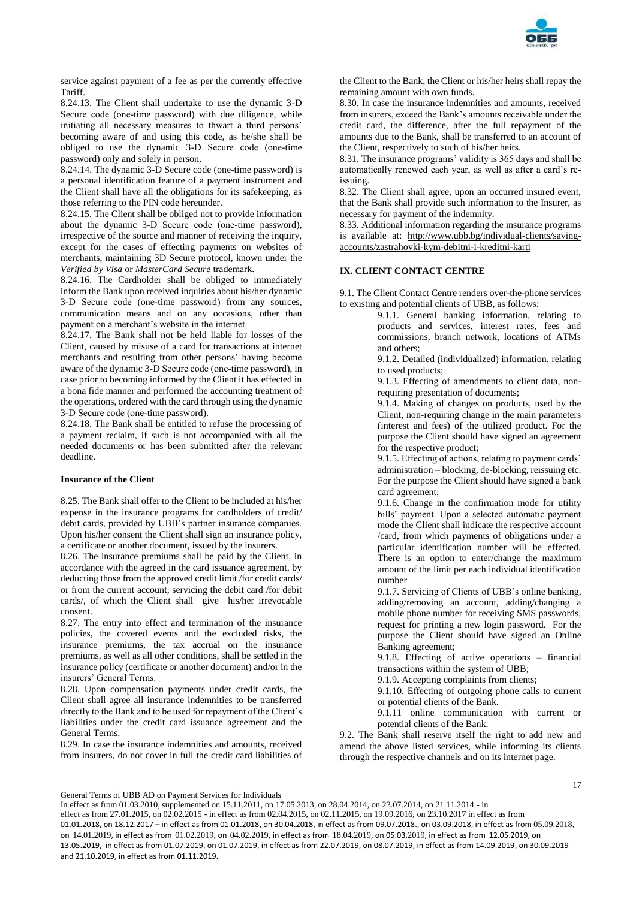

service against payment of a fee as per the currently effective Tariff.

8.24.13. The Client shall undertake to use the dynamic 3-D Secure code (one-time password) with due diligence, while initiating all necessary measures to thwart a third persons' becoming aware of and using this code, as he/she shall be obliged to use the dynamic 3-D Secure code (оne-time password) only and solely in person.

8.24.14. The dynamic 3-D Secure code (one-time password) is a personal identification feature of a payment instrument and the Client shall have all the obligations for its safekeeping, as those referring to the PIN code hereunder.

8.24.15. The Client shall be obliged not to provide information about the dynamic 3-D Secure code (оne-time password), irrespective of the source and manner of receiving the inquiry, except for the cases of effecting payments on websites of merchants, maintaining 3D Secure protocol, known under the *Verified by Visa* or *MasterCard Secure* trademark.

8.24.16. The Cardholder shall be obliged to immediately inform the Bank upon received inquiries about his/her dynamic 3-D Secure code (оne-time password) from any sources, communication means and on any occasions, other than payment on a merchant's website in the internet.

8.24.17. The Bank shall not be held liable for losses of the Client, caused by misuse of a card for transactions at internet merchants and resulting from other persons' having become aware of the dynamic 3-D Secure code (оne-time password), in case prior to becoming informed by the Client it has effected in a bona fide manner and performed the accounting treatment of the operations, ordered with the card through using the dynamic 3-D Secure code (оne-time password).

8.24.18. The Bank shall be entitled to refuse the processing of a payment reclaim, if such is not accompanied with all the needed documents or has been submitted after the relevant deadline.

# **Insurance of the Client**

8.25. The Bank shall offer to the Client to be included at his/her expense in the insurance programs for cardholders of credit/ debit cards, provided by UBB's partner insurance companies. Upon his/her consent the Client shall sign an insurance policy, a certificate or another document, issued by the insurers.

8.26. The insurance premiums shall be paid by the Client, in accordance with the agreed in the card issuance agreement, by deducting those from the approved credit limit /for credit cards/ or from the current account, servicing the debit card /for debit cards/, of which the Client shall give his/her irrevocable consent.

8.27. The entry into effect and termination of the insurance policies, the covered events and the excluded risks, the insurance premiums, the tax accrual on the insurance premiums, as well as all other conditions, shall be settled in the insurance policy (certificate or another document) and/or in the insurers' General Terms.

8.28. Upon compensation payments under credit cards, the Client shall agree all insurance indemnities to be transferred directly to the Bank and to be used for repayment of the Client's liabilities under the credit card issuance agreement and the General Terms.

8.29. In case the insurance indemnities and amounts, received from insurers, do not cover in full the credit card liabilities of the Client to the Bank, the Client or his/her heirs shall repay the remaining amount with own funds.

8.30. In case the insurance indemnities and amounts, received from insurers, exceed the Bank's amounts receivable under the credit card, the difference, after the full repayment of the amounts due to the Bank, shall be transferred to an account of the Client, respectively to such of his/her heirs.

8.31. The insurance programs' validity is 365 days and shall be automatically renewed each year, as well as after a card's reissuing.

8.32. The Client shall agree, upon an occurred insured event, that the Bank shall provide such information to the Insurer, as necessary for payment of the indemnity.

8.33. Additional information regarding the insurance programs is available at: [http://www.ubb.bg/individual-clients/saving](http://www.ubb.bg/individual-clients/saving-accounts/zastrahovki-kym-debitni-i-kreditni-karti)[accounts/zastrahovki-kym-debitni-i-kreditni-karti](http://www.ubb.bg/individual-clients/saving-accounts/zastrahovki-kym-debitni-i-kreditni-karti)

# **IX. CLIENT CONTACT CENTRE**

9.1. The Client Contact Centre renders over-the-phone services to existing and potential clients of UBB, as follows:

9.1.1. General banking information, relating to products and services, interest rates, fees and commissions, branch network, locations of ATMs and others;

9.1.2. Detailed (individualized) information, relating to used products;

9.1.3. Effecting of amendments to client data, nonrequiring presentation of documents;

9.1.4. Making of changes on products, used by the Client, non-requiring change in the main parameters (interest and fees) of the utilized product. For the purpose the Client should have signed an agreement for the respective product;

9.1.5. Effecting of actions, relating to payment cards' administration – blocking, de-blocking, reissuing etc. For the purpose the Client should have signed a bank card agreement;

9.1.6. Change in the confirmation mode for utility bills' payment. Upon a selected automatic payment mode the Client shall indicate the respective account /card, from which payments of obligations under a particular identification number will be effected. There is an option to enter/change the maximum amount of the limit per each individual identification number

9.1.7. Servicing of Clients of UBB's online banking, adding/removing an account, adding/changing a mobile phone number for receiving SMS passwords, request for printing a new login password. For the purpose the Client should have signed an Online Banking agreement;

9.1.8. Effecting of active operations – financial transactions within the system of UBB;

9.1.9. Accepting complaints from clients;

9.1.10. Effecting of outgoing phone calls to current or potential clients of the Bank.

9.1.11 online communication with current or potential clients of the Bank.

9.2. The Bank shall reserve itself the right to add new and amend the above listed services, while informing its clients through the respective channels and on its internet page.

General Terms of UBB AD on Payment Services for Individuals

In effect as from 01.03.2010, supplemented on 15.11.2011, on 17.05.2013, on 28.04.2014, on 23.07.2014, on 21.11.2014 - in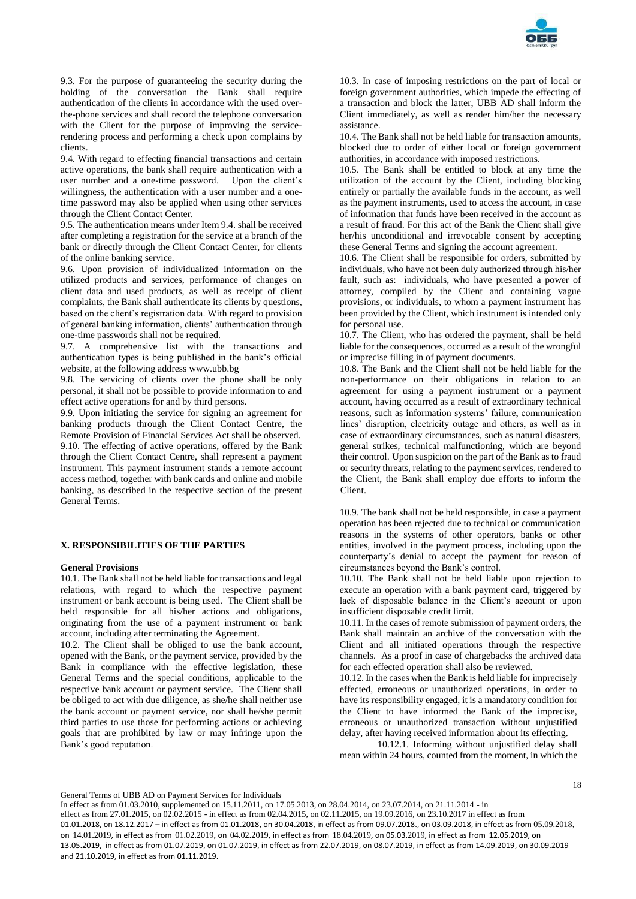

9.3. For the purpose of guaranteeing the security during the holding of the conversation the Bank shall require authentication of the clients in accordance with the used overthe-phone services and shall record the telephone conversation with the Client for the purpose of improving the servicerendering process and performing a check upon complains by clients.

9.4. With regard to effecting financial transactions and certain active operations, the bank shall require authentication with a user number and a one-time password. Upon the client's willingness, the authentication with a user number and a onetime password may also be applied when using other services through the Client Contact Center.

9.5. The authentication means under Item 9.4. shall be received after completing a registration for the service at a branch of the bank or directly through the Client Contact Center, for clients of the online banking service.

9.6. Upon provision of individualized information on the utilized products and services, performance of changes on client data and used products, as well as receipt of client complaints, the Bank shall authenticate its clients by questions, based on the client's registration data. With regard to provision of general banking information, clients' authentication through one-time passwords shall not be required.

9.7. A comprehensive list with the transactions and authentication types is being published in the bank's official website, at the following address [www.ubb.bg](blocked::http://www.ubb.bg/)

9.8. The servicing of clients over the phone shall be only personal, it shall not be possible to provide information to and effect active operations for and by third persons.

9.9. Upon initiating the service for signing an agreement for banking products through the Client Contact Centre, the Remote Provision of Financial Services Act shall be observed. 9.10. The effecting of active operations, offered by the Bank through the Client Contact Centre, shall represent a payment instrument. This payment instrument stands a remote account access method, together with bank cards and online and mobile banking, as described in the respective section of the present General Terms.

# **X. RESPONSIBILITIES OF THE PARTIES**

#### **General Provisions**

10.1. The Bank shall not be held liable for transactions and legal relations, with regard to which the respective payment instrument or bank account is being used. The Client shall be held responsible for all his/her actions and obligations, originating from the use of a payment instrument or bank account, including after terminating the Agreement.

10.2. The Client shall be obliged to use the bank account, opened with the Bank, or the payment service, provided by the Bank in compliance with the effective legislation, these General Terms and the special conditions, applicable to the respective bank account or payment service. The Client shall be obliged to act with due diligence, as she/he shall neither use the bank account or payment service, nor shall he/she permit third parties to use those for performing actions or achieving goals that are prohibited by law or may infringe upon the Bank's good reputation.

10.3. In case of imposing restrictions on the part of local or foreign government authorities, which impede the effecting of a transaction and block the latter, UBB AD shall inform the Client immediately, as well as render him/her the necessary assistance.

10.4. The Bank shall not be held liable for transaction amounts, blocked due to order of either local or foreign government authorities, in accordance with imposed restrictions.

10.5. The Bank shall be entitled to block at any time the utilization of the account by the Client, including blocking entirely or partially the available funds in the account, as well as the payment instruments, used to access the account, in case of information that funds have been received in the account as a result of fraud. For this act of the Bank the Client shall give her/his unconditional and irrevocable consent by accepting these General Terms and signing the account agreement.

10.6. The Client shall be responsible for orders, submitted by individuals, who have not been duly authorized through his/her fault, such as: individuals, who have presented a power of attorney, compiled by the Client and containing vague provisions, or individuals, to whom a payment instrument has been provided by the Client, which instrument is intended only for personal use.

10.7. The Client, who has ordered the payment, shall be held liable for the consequences, occurred as a result of the wrongful or imprecise filling in of payment documents.

10.8. The Bank and the Client shall not be held liable for the non-performance on their obligations in relation to an agreement for using a payment instrument or a payment account, having occurred as a result of extraordinary technical reasons, such as information systems' failure, communication lines' disruption, electricity outage and others, as well as in case of extraordinary circumstances, such as natural disasters, general strikes, technical malfunctioning, which are beyond their control. Upon suspicion on the part of the Bank as to fraud or security threats, relating to the payment services, rendered to the Client, the Bank shall employ due efforts to inform the Client.

10.9. The bank shall not be held responsible, in case a payment operation has been rejected due to technical or communication reasons in the systems of other operators, banks or other entities, involved in the payment process, including upon the counterparty's denial to accept the payment for reason of circumstances beyond the Bank's control.

10.10. The Bank shall not be held liable upon rejection to execute an operation with a bank payment card, triggered by lack of disposable balance in the Client's account or upon insufficient disposable credit limit.

10.11. In the cases of remote submission of payment orders, the Bank shall maintain an archive of the conversation with the Client and all initiated operations through the respective channels. As a proof in case of chargebacks the archived data for each effected operation shall also be reviewed.

10.12. In the cases when the Bank is held liable for imprecisely effected, erroneous or unauthorized operations, in order to have its responsibility engaged, it is a mandatory condition for the Client to have informed the Bank of the imprecise, erroneous or unauthorized transaction without unjustified delay, after having received information about its effecting.

10.12.1. Informing without unjustified delay shall mean within 24 hours, counted from the moment, in which the

General Terms of UBB AD on Payment Services for Individuals

In effect as from 01.03.2010, supplemented on 15.11.2011, on 17.05.2013, on 28.04.2014, on 23.07.2014, on 21.11.2014 - in effect as from 27.01.2015, on 02.02.2015 - in effect as from 02.04.2015, on 02.11.2015, on 19.09.2016, on 23.10.2017 in effect as from 01.01.2018, on 18.12.2017 – in effect as from 01.01.2018, on 30.04.2018, in effect as from 09.07.2018., on 03.09.2018, in effect as from 05.09.2018, on 14.01.2019, in effect as from 01.02.2019, on 04.02.2019, in effect as from 18.04.2019, on 05.03.2019, in effect as from 12.05.2019, on 13.05.2019, in effect as from 01.07.2019, on 01.07.2019, in effect as from 22.07.2019, on 08.07.2019, in effect as from 14.09.2019, on 30.09.2019 and 21.10.2019, in effect as from 01.11.2019.

18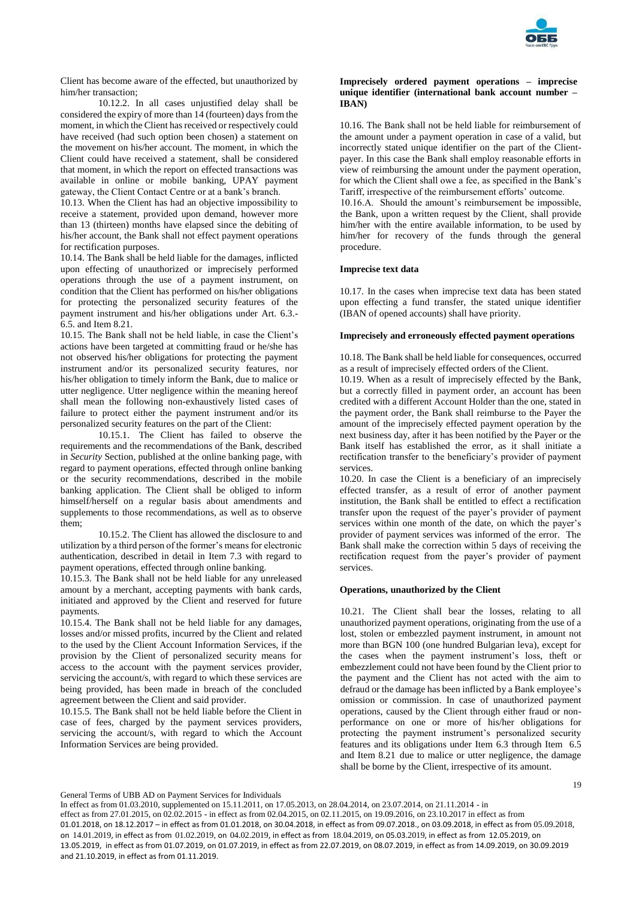

Client has become aware of the effected, but unauthorized by him/her transaction;

10.12.2. In all cases unjustified delay shall be considered the expiry of more than 14 (fourteen) days from the moment, in which the Client has received or respectively could have received (had such option been chosen) a statement on the movement on his/her account. The moment, in which the Client could have received a statement, shall be considered that moment, in which the report on effected transactions was available in online or mobile banking, UPAY payment gateway, the Client Contact Centre or at a bank's branch.

10.13. When the Client has had an objective impossibility to receive a statement, provided upon demand, however more than 13 (thirteen) months have elapsed since the debiting of his/her account, the Bank shall not effect payment operations for rectification purposes.

10.14. The Bank shall be held liable for the damages, inflicted upon effecting of unauthorized or imprecisely performed operations through the use of a payment instrument, on condition that the Client has performed on his/her obligations for protecting the personalized security features of the payment instrument and his/her obligations under Art. 6.3.- 6.5. and Item 8.21.

10.15. The Bank shall not be held liable, in case the Client's actions have been targeted at committing fraud or he/she has not observed his/her obligations for protecting the payment instrument and/or its personalized security features, nor his/her obligation to timely inform the Bank, due to malice or utter negligence. Utter negligence within the meaning hereof shall mean the following non-exhaustively listed cases of failure to protect either the payment instrument and/or its personalized security features on the part of the Client:

10.15.1. The Client has failed to observe the requirements and the recommendations of the Bank, described in *Security* Section, published at the online banking page, with regard to payment operations, effected through online banking or the security recommendations, described in the mobile banking application. The Client shall be obliged to inform himself/herself on a regular basis about amendments and supplements to those recommendations, as well as to observe them;

10.15.2. The Client has allowed the disclosure to and utilization by a third person of the former's means for electronic authentication, described in detail in Item 7.3 with regard to payment operations, effected through online banking.

10.15.3. The Bank shall not be held liable for any unreleased amount by a merchant, accepting payments with bank cards, initiated and approved by the Client and reserved for future payments.

10.15.4. The Bank shall not be held liable for any damages, losses and/or missed profits, incurred by the Client and related to the used by the Client Account Information Services, if the provision by the Client of personalized security means for access to the account with the payment services provider, servicing the account/s, with regard to which these services are being provided, has been made in breach of the concluded agreement between the Client and said provider.

10.15.5. The Bank shall not be held liable before the Client in case of fees, charged by the payment services providers, servicing the account/s, with regard to which the Account Information Services are being provided.

### **Imprecisely ordered payment operations – imprecise unique identifier (international bank account number – IBAN)**

10.16. The Bank shall not be held liable for reimbursement of the amount under a payment operation in case of a valid, but incorrectly stated unique identifier on the part of the Clientpayer. In this case the Bank shall employ reasonable efforts in view of reimbursing the amount under the payment operation, for which the Client shall owe a fee, as specified in the Bank's Tariff, irrespective of the reimbursement efforts' outcome.

10.16.А. Should the amount's reimbursement be impossible, the Bank, upon a written request by the Client, shall provide him/her with the entire available information, to be used by him/her for recovery of the funds through the general procedure.

# **Imprecise text data**

10.17. In the cases when imprecise text data has been stated upon effecting a fund transfer, the stated unique identifier (IBAN of opened accounts) shall have priority.

# **Imprecisely and erroneously effected payment operations**

10.18. The Bank shall be held liable for consequences, occurred as a result of imprecisely effected orders of the Client.

10.19. When as a result of imprecisely effected by the Bank, but a correctly filled in payment order, an account has been credited with a different Account Holder than the one, stated in the payment order, the Bank shall reimburse to the Payer the amount of the imprecisely effected payment operation by the next business day, after it has been notified by the Payer or the Bank itself has established the error, as it shall initiate a rectification transfer to the beneficiary's provider of payment services.

10.20. In case the Client is a beneficiary of an imprecisely effected transfer, as a result of error of another payment institution, the Bank shall be entitled to effect a rectification transfer upon the request of the payer's provider of payment services within one month of the date, on which the payer's provider of payment services was informed of the error. The Bank shall make the correction within 5 days of receiving the rectification request from the payer's provider of payment services.

### **Operations, unauthorized by the Client**

10.21. The Client shall bear the losses, relating to all unauthorized payment operations, originating from the use of a lost, stolen or embezzled payment instrument, in amount not more than BGN 100 (one hundred Bulgarian leva), except for the cases when the payment instrument's loss, theft or embezzlement could not have been found by the Client prior to the payment and the Client has not acted with the aim to defraud or the damage has been inflicted by a Bank employee's omission or commission. In case of unauthorized payment operations, caused by the Client through either fraud or nonperformance on one or more of his/her obligations for protecting the payment instrument's personalized security features and its obligations under Item 6.3 through Item 6.5 and Item 8.21 due to malice or utter negligence, the damage shall be borne by the Client, irrespective of its amount.

General Terms of UBB AD on Payment Services for Individuals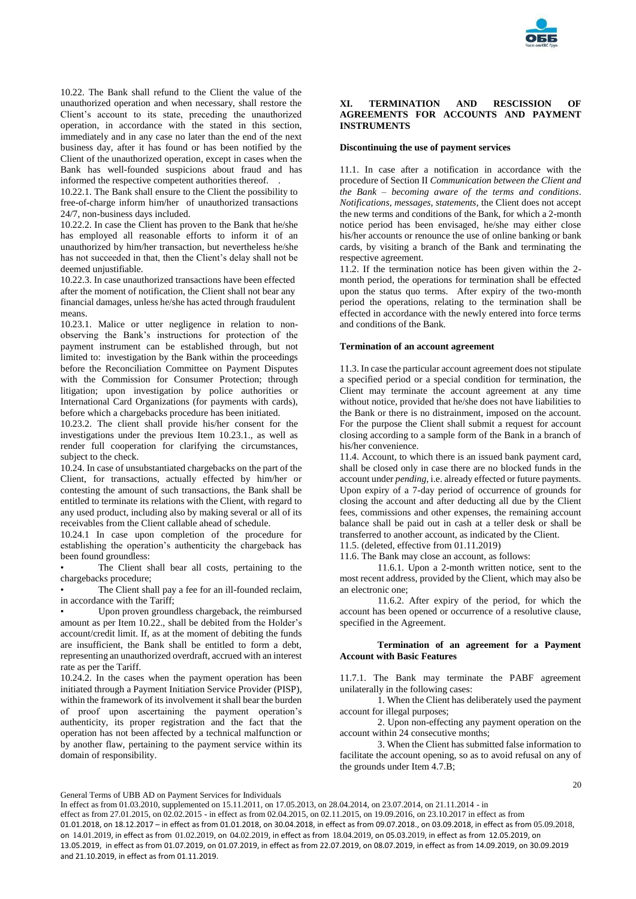

10.22. The Bank shall refund to the Client the value of the unauthorized operation and when necessary, shall restore the Client's account to its state, preceding the unauthorized operation, in accordance with the stated in this section, immediately and in any case no later than the end of the next business day, after it has found or has been notified by the Client of the unauthorized operation, except in cases when the Bank has well-founded suspicions about fraud and has informed the respective competent authorities thereof. .

10.22.1. The Bank shall ensure to the Client the possibility to free-of-charge inform him/her of unauthorized transactions 24/7, non-business days included.

10.22.2. In case the Client has proven to the Bank that he/she has employed all reasonable efforts to inform it of an unauthorized by him/her transaction, but nevertheless he/she has not succeeded in that, then the Client's delay shall not be deemed unjustifiable.

10.22.3. In case unauthorized transactions have been effected after the moment of notification, the Client shall not bear any financial damages, unless he/she has acted through fraudulent means.

10.23.1. Malice or utter negligence in relation to nonobserving the Bank's instructions for protection of the payment instrument can be established through, but not limited to: investigation by the Bank within the proceedings before the Reconciliation Committee on Payment Disputes with the Commission for Consumer Protection; through litigation; upon investigation by police authorities or International Card Organizations (for payments with cards), before which a chargebacks procedure has been initiated.

10.23.2. The client shall provide his/her consent for the investigations under the previous Item 10.23.1., as well as render full cooperation for clarifying the circumstances, subject to the check.

10.24. In case of unsubstantiated chargebacks on the part of the Client, for transactions, actually effected by him/her or contesting the amount of such transactions, the Bank shall be entitled to terminate its relations with the Client, with regard to any used product, including also by making several or all of its receivables from the Client callable ahead of schedule.

10.24.1 In case upon completion of the procedure for establishing the operation's authenticity the chargeback has been found groundless:

The Client shall bear all costs, pertaining to the chargebacks procedure;

The Client shall pay a fee for an ill-founded reclaim, in accordance with the Tariff;

Upon proven groundless chargeback, the reimbursed amount as per Item 10.22., shall be debited from the Holder's account/credit limit. If, as at the moment of debiting the funds are insufficient, the Bank shall be entitled to form a debt, representing an unauthorized overdraft, accrued with an interest rate as per the Tariff.

10.24.2. In the cases when the payment operation has been initiated through a Payment Initiation Service Provider (PISP), within the framework of its involvement it shall bear the burden of proof upon ascertaining the payment operation's authenticity, its proper registration and the fact that the operation has not been affected by a technical malfunction or by another flaw, pertaining to the payment service within its domain of responsibility.

### **XI. TERMINATION AND RESCISSION OF AGREEMENTS FOR ACCOUNTS AND PAYMENT INSTRUMENTS**

### **Discontinuing the use of payment services**

11.1. In case after a notification in accordance with the procedure of Section II *Communication between the Client and the Bank – becoming aware of the terms and conditions*. *Notifications, messages, statements*, the Client does not accept the new terms and conditions of the Bank, for which a 2-month notice period has been envisaged, he/she may either close his/her accounts or renounce the use of online banking or bank cards, by visiting a branch of the Bank and terminating the respective agreement.

11.2. If the termination notice has been given within the 2 month period, the operations for termination shall be effected upon the status quo terms. After expiry of the two-month period the operations, relating to the termination shall be effected in accordance with the newly entered into force terms and conditions of the Bank.

#### **Termination of an account agreement**

11.3. In case the particular account agreement does not stipulate a specified period or a special condition for termination, the Client may terminate the account agreement at any time without notice, provided that he/she does not have liabilities to the Bank or there is no distrainment, imposed on the account. For the purpose the Client shall submit a request for account closing according to a sample form of the Bank in a branch of his/her convenience.

11.4. Account, to which there is an issued bank payment card, shall be closed only in case there are no blocked funds in the account under *pending*, i.e. already effected or future payments. Upon expiry of a 7-day period of occurrence of grounds for closing the account and after deducting all due by the Client fees, commissions and other expenses, the remaining account balance shall be paid out in cash at a teller desk or shall be transferred to another account, as indicated by the Client. 11.5. (deleted, effective from 01.11.2019)

11.6. The Bank may close an account, as follows:

11.6.1. Upon a 2-month written notice, sent to the most recent address, provided by the Client, which may also be an electronic one;

11.6.2. After expiry of the period, for which the account has been opened or occurrence of a resolutive clause, specified in the Agreement.

# **Termination of an agreement for a Payment Account with Basic Features**

11.7.1. The Bank may terminate the PABF agreement unilaterally in the following cases:

1. When the Client has deliberately used the payment account for illegal purposes;

2. Upon non-effecting any payment operation on the account within 24 consecutive months;

3. When the Client has submitted false information to facilitate the account opening, so as to avoid refusal on any of the grounds under Item 4.7.B;

General Terms of UBB AD on Payment Services for Individuals

In effect as from 01.03.2010, supplemented on 15.11.2011, on 17.05.2013, on 28.04.2014, on 23.07.2014, on 21.11.2014 - in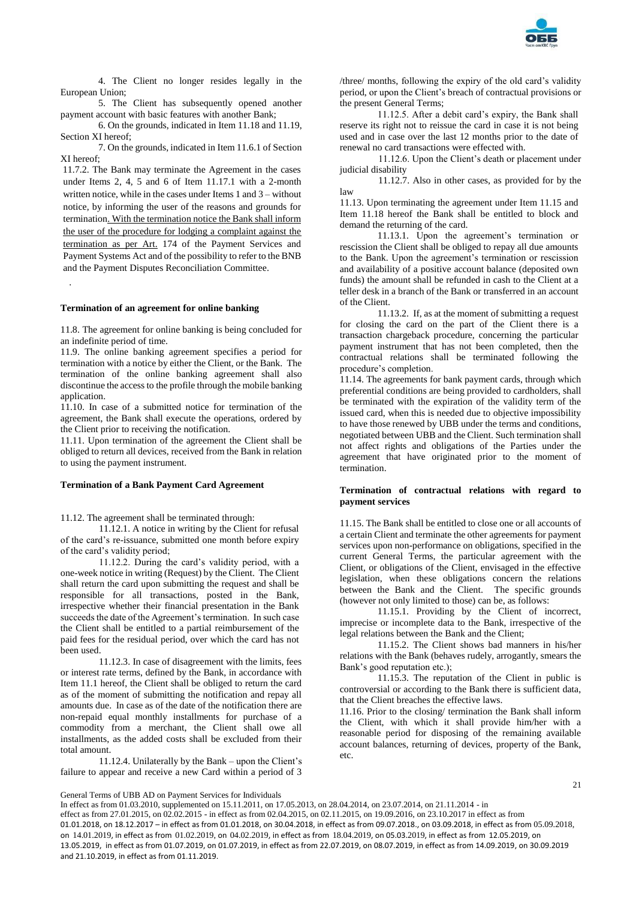

4. The Client no longer resides legally in the European Union;

5. The Client has subsequently opened another payment account with basic features with another Bank;

6. On the grounds, indicated in Item 11.18 and 11.19, Section XI hereof;

7. On the grounds, indicated in Item 11.6.1 of Section XI hereof;

11.7.2. The Bank may terminate the Agreement in the cases under Items 2, 4, 5 and 6 of Item 11.17.1 with a 2-month written notice, while in the cases under Items 1 and 3 – without notice, by informing the user of the reasons and grounds for termination. With the termination notice the Bank shall inform the user of the procedure for lodging a complaint against the termination as per Art. 174 of the Payment Services and Payment Systems Act and of the possibility to refer to the BNB and the Payment Disputes Reconciliation Committee.

#### **Termination of an agreement for online banking**

.

11.8. The agreement for online banking is being concluded for an indefinite period of time.

11.9. The online banking agreement specifies a period for termination with a notice by either the Client, or the Bank. The termination of the online banking agreement shall also discontinue the access to the profile through the mobile banking application.

11.10. In case of a submitted notice for termination of the agreement, the Bank shall execute the operations, ordered by the Client prior to receiving the notification.

11.11. Upon termination of the agreement the Client shall be obliged to return all devices, received from the Bank in relation to using the payment instrument.

### **Termination of a Bank Payment Card Agreement**

11.12. The agreement shall be terminated through:

11.12.1. A notice in writing by the Client for refusal of the card's re-issuance, submitted one month before expiry of the card's validity period;

11.12.2. During the card's validity period, with a one-week notice in writing (Request) by the Client. The Client shall return the card upon submitting the request and shall be responsible for all transactions, posted in the Bank, irrespective whether their financial presentation in the Bank succeeds the date of the Agreement's termination. In such case the Client shall be entitled to a partial reimbursement of the paid fees for the residual period, over which the card has not been used.

11.12.3. In case of disagreement with the limits, fees or interest rate terms, defined by the Bank, in accordance with Item 11.1 hereof, the Client shall be obliged to return the card as of the moment of submitting the notification and repay all amounts due. In case as of the date of the notification there are non-repaid equal monthly installments for purchase of a commodity from a merchant, the Client shall owe all installments, as the added costs shall be excluded from their total amount.

11.12.4. Unilaterally by the Bank – upon the Client's failure to appear and receive a new Card within a period of 3 /three/ months, following the expiry of the old card's validity period, or upon the Client's breach of contractual provisions or the present General Terms;

11.12.5. After a debit card's expiry, the Bank shall reserve its right not to reissue the card in case it is not being used and in case over the last 12 months prior to the date of renewal no card transactions were effected with.

11.12.6. Upon the Client's death or placement under judicial disability

11.12.7. Also in other cases, as provided for by the law

11.13. Upon terminating the agreement under Item 11.15 and Item 11.18 hereof the Bank shall be entitled to block and demand the returning of the card.

11.13.1. Upon the agreement's termination or rescission the Client shall be obliged to repay all due amounts to the Bank. Upon the agreement's termination or rescission and availability of a positive account balance (deposited own funds) the amount shall be refunded in cash to the Client at a teller desk in a branch of the Bank or transferred in an account of the Client.

11.13.2. If, as at the moment of submitting a request for closing the card on the part of the Client there is a transaction chargeback procedure, concerning the particular payment instrument that has not been completed, then the contractual relations shall be terminated following the procedure's completion.

11.14. The agreements for bank payment cards, through which preferential conditions are being provided to cardholders, shall be terminated with the expiration of the validity term of the issued card, when this is needed due to objective impossibility to have those renewed by UBB under the terms and conditions, negotiated between UBB and the Client. Such termination shall not affect rights and obligations of the Parties under the agreement that have originated prior to the moment of termination.

#### **Termination of contractual relations with regard to payment services**

11.15. The Bank shall be entitled to close one or all accounts of a certain Client and terminate the other agreements for payment services upon non-performance on obligations, specified in the current General Terms, the particular agreement with the Client, or obligations of the Client, envisaged in the effective legislation, when these obligations concern the relations between the Bank and the Client. The specific grounds (however not only limited to those) can be, as follows:

11.15.1. Providing by the Client of incorrect, imprecise or incomplete data to the Bank, irrespective of the legal relations between the Bank and the Client;

11.15.2. The Client shows bad manners in his/her relations with the Bank (behaves rudely, arrogantly, smears the Bank's good reputation etc.);

11.15.3. The reputation of the Client in public is controversial or according to the Bank there is sufficient data, that the Client breaches the effective laws.

11.16. Prior to the closing/ termination the Bank shall inform the Client, with which it shall provide him/her with a reasonable period for disposing of the remaining available account balances, returning of devices, property of the Bank, etc.

General Terms of UBB AD on Payment Services for Individuals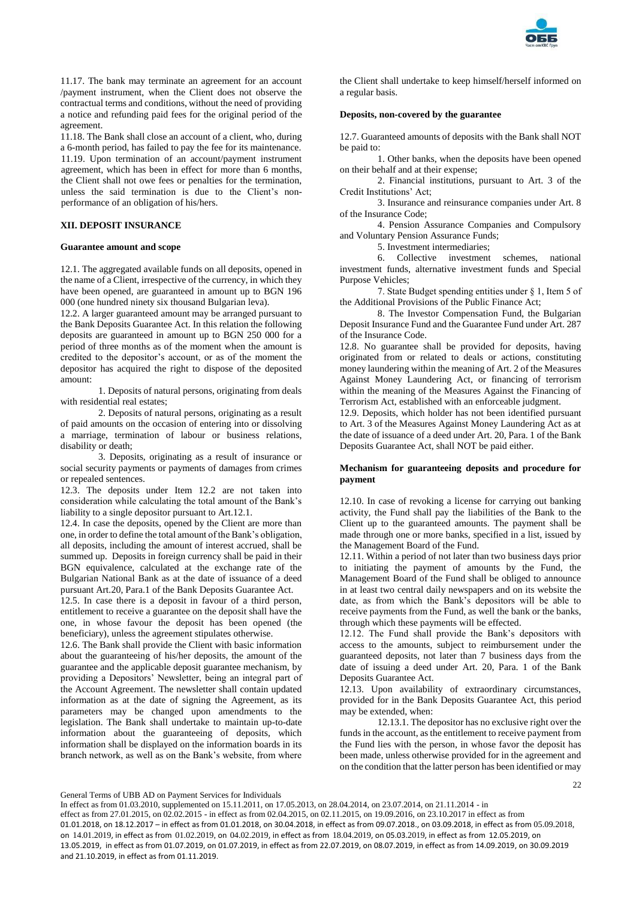

11.17. The bank may terminate an agreement for an account /payment instrument, when the Client does not observe the contractual terms and conditions, without the need of providing a notice and refunding paid fees for the original period of the agreement.

11.18. The Bank shall close an account of a client, who, during a 6-month period, has failed to pay the fee for its maintenance. 11.19. Upon termination of an account/payment instrument agreement, which has been in effect for more than 6 months, the Client shall not owe fees or penalties for the termination, unless the said termination is due to the Client's nonperformance of an obligation of his/hers.

# **XII. DEPOSIT INSURANCE**

#### **Guarantee amount and scope**

12.1. The aggregated available funds on all deposits, opened in the name of a Client, irrespective of the currency, in which they have been opened, are guaranteed in amount up to BGN 196 000 (one hundred ninety six thousand Bulgarian leva).

12.2. A larger guaranteed amount may be arranged pursuant to the Bank Deposits Guarantee Act. In this relation the following deposits are guaranteed in amount up to BGN 250 000 for a period of three months as of the moment when the amount is credited to the depositor's account, or as of the moment the depositor has acquired the right to dispose of the deposited amount:

1. Deposits of natural persons, originating from deals with residential real estates;

2. Deposits of natural persons, originating as a result of paid amounts on the occasion of entering into or dissolving a marriage, termination of labour or business relations, disability or death;

3. Deposits, originating as a result of insurance or social security payments or payments of damages from crimes or repealed sentences.

12.3. The deposits under Item 12.2 are not taken into consideration while calculating the total amount of the Bank's liability to a single depositor pursuant to Art.12.1.

12.4. In case the deposits, opened by the Client are more than one, in order to define the total amount of the Bank's obligation, all deposits, including the amount of interest accrued, shall be summed up. Deposits in foreign currency shall be paid in their BGN equivalence, calculated at the exchange rate of the Bulgarian National Bank as at the date of issuance of a deed pursuant Art.20, Para.1 of the Bank Deposits Guarantee Act.

12.5. In case there is a deposit in favour of a third person, entitlement to receive a guarantee on the deposit shall have the one, in whose favour the deposit has been opened (the beneficiary), unless the agreement stipulates otherwise.

12.6. The Bank shall provide the Client with basic information about the guaranteeing of his/her deposits, the amount of the guarantee and the applicable deposit guarantee mechanism, by providing a Depositors' Newsletter, being an integral part of the Account Agreement. The newsletter shall contain updated information as at the date of signing the Agreement, as its parameters may be changed upon amendments to the legislation. The Bank shall undertake to maintain up-to-date information about the guaranteeing of deposits, which information shall be displayed on the information boards in its branch network, as well as on the Bank's website, from where

the Client shall undertake to keep himself/herself informed on a regular basis.

# **Deposits, non-covered by the guarantee**

12.7. Guaranteed amounts of deposits with the Bank shall NOT be paid to:

1. Other banks, when the deposits have been opened on their behalf and at their expense;

2. Financial institutions, pursuant to Art. 3 of the Credit Institutions' Act;

3. Insurance and reinsurance companies under Art. 8 of the Insurance Code;

4. Pension Assurance Companies and Compulsory and Voluntary Pension Assurance Funds;

5. Investment intermediaries;

6. Collective investment schemes, national investment funds, alternative investment funds and Special Purpose Vehicles;

7. State Budget spending entities under § 1, Item 5 of the Additional Provisions of the Public Finance Act;

8. The Investor Compensation Fund, the Bulgarian Deposit Insurance Fund and the Guarantee Fund under Art. 287 of the Insurance Code.

12.8. No guarantee shall be provided for deposits, having originated from or related to deals or actions, constituting money laundering within the meaning of Art. 2 of the Measures Against Money Laundering Act, or financing of terrorism within the meaning of the Measures Against the Financing of Terrorism Act, established with an enforceable judgment.

12.9. Deposits, which holder has not been identified pursuant to Art. 3 of the Measures Against Money Laundering Act as at the date of issuance of a deed under Art. 20, Para. 1 of the Bank Deposits Guarantee Act, shall NOT be paid either.

# **Mechanism for guaranteeing deposits and procedure for payment**

12.10. In case of revoking a license for carrying out banking activity, the Fund shall pay the liabilities of the Bank to the Client up to the guaranteed amounts. The payment shall be made through one or more banks, specified in a list, issued by the Management Board of the Fund.

12.11. Within a period of not later than two business days prior to initiating the payment of amounts by the Fund, the Management Board of the Fund shall be obliged to announce in at least two central daily newspapers and on its website the date, as from which the Bank's depositors will be able to receive payments from the Fund, as well the bank or the banks, through which these payments will be effected.

12.12. The Fund shall provide the Bank's depositors with access to the amounts, subject to reimbursement under the guaranteed deposits, not later than 7 business days from the date of issuing a deed under Art. 20, Para. 1 of the Bank Deposits Guarantee Act.

12.13. Upon availability of extraordinary circumstances, provided for in the Bank Deposits Guarantee Act, this period may be extended, when:

12.13.1. The depositor has no exclusive right over the funds in the account, as the entitlement to receive payment from the Fund lies with the person, in whose favor the deposit has been made, unless otherwise provided for in the agreement and on the condition that the latter person has been identified or may

General Terms of UBB AD on Payment Services for Individuals

In effect as from 01.03.2010, supplemented on 15.11.2011, on 17.05.2013, on 28.04.2014, on 23.07.2014, on 21.11.2014 - in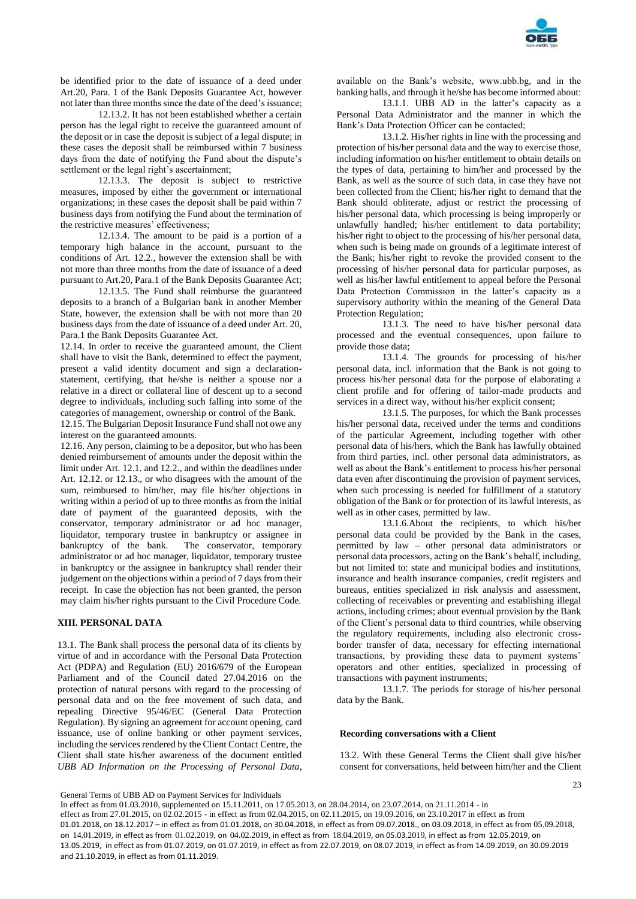

be identified prior to the date of issuance of a deed under Art.20, Para. 1 of the Bank Deposits Guarantee Act, however not later than three months since the date of the deed's issuance;

12.13.2. It has not been established whether a certain person has the legal right to receive the guaranteed amount of the deposit or in case the deposit is subject of a legal dispute; in these cases the deposit shall be reimbursed within 7 business days from the date of notifying the Fund about the dispute's settlement or the legal right's ascertainment;

12.13.3. The deposit is subject to restrictive measures, imposed by either the government or international organizations; in these cases the deposit shall be paid within 7 business days from notifying the Fund about the termination of the restrictive measures' effectiveness;

12.13.4. The amount to be paid is a portion of a temporary high balance in the account, pursuant to the conditions of Art. 12.2., however the extension shall be with not more than three months from the date of issuance of a deed pursuant to Art.20, Para.1 of the Bank Deposits Guarantee Act;

12.13.5. The Fund shall reimburse the guaranteed deposits to a branch of a Bulgarian bank in another Member State, however, the extension shall be with not more than 20 business days from the date of issuance of a deed under Art. 20, Para.1 the Bank Deposits Guarantee Act.

12.14. In order to receive the guaranteed amount, the Client shall have to visit the Bank, determined to effect the payment, present a valid identity document and sign a declarationstatement, certifying, that he/she is neither a spouse nor a relative in a direct or collateral line of descent up to a second degree to individuals, including such falling into some of the categories of management, ownership or control of the Bank.

12.15. The Bulgarian Deposit Insurance Fund shall not owe any interest on the guaranteed amounts.

12.16. Any person, claiming to be a depositor, but who has been denied reimbursement of amounts under the deposit within the limit under Art. 12.1. and 12.2., and within the deadlines under Art. 12.12. or 12.13., or who disagrees with the amount of the sum, reimbursed to him/her, may file his/her objections in writing within a period of up to three months as from the initial date of payment of the guaranteed deposits, with the conservator, temporary administrator or ad hoc manager, liquidator, temporary trustee in bankruptcy or assignee in bankruptcy of the bank. The conservator, temporary administrator or ad hoc manager, liquidator, temporary trustee in bankruptcy or the assignee in bankruptcy shall render their judgement on the objections within a period of 7 days from their receipt. In case the objection has not been granted, the person may claim his/her rights pursuant to the Civil Procedure Code.

# **XIII. PERSONAL DATA**

13.1. The Bank shall process the personal data of its clients by virtue of and in accordance with the Personal Data Protection Act (PDPA) and Regulation (EU) 2016/679 of the European Parliament and of the Council dated 27.04.2016 on the protection of natural persons with regard to the processing of personal data and on the free movement of such data, and repealing Directive 95/46/EC (General Data Protection Regulation). By signing an agreement for account opening, card issuance, use of online banking or other payment services, including the services rendered by the Client Contact Centre, the Client shall state his/her awareness of the document entitled *UBB AD Information on the Processing of Personal Data*,

available on the Bank's website, www.ubb.bg, and in the banking halls, and through it he/she has become informed about:

13.1.1. UBB AD in the latter's capacity as a Personal Data Administrator and the manner in which the Bank's Data Protection Officer can be contacted;

13.1.2. His/her rights in line with the processing and protection of his/her personal data and the way to exercise those, including information on his/her entitlement to obtain details on the types of data, pertaining to him/her and processed by the Bank, as well as the source of such data, in case they have not been collected from the Client; his/her right to demand that the Bank should obliterate, adjust or restrict the processing of his/her personal data, which processing is being improperly or unlawfully handled; his/her entitlement to data portability; his/her right to object to the processing of his/her personal data, when such is being made on grounds of a legitimate interest of the Bank; his/her right to revoke the provided consent to the processing of his/her personal data for particular purposes, as well as his/her lawful entitlement to appeal before the Personal Data Protection Commission in the latter's capacity as a supervisory authority within the meaning of the General Data Protection Regulation;

13.1.3. The need to have his/her personal data processed and the eventual consequences, upon failure to provide those data;

13.1.4. The grounds for processing of his/her personal data, incl. information that the Bank is not going to process his/her personal data for the purpose of elaborating a client profile and for offering of tailor-made products and services in a direct way, without his/her explicit consent;

13.1.5. The purposes, for which the Bank processes his/her personal data, received under the terms and conditions of the particular Agreement, including together with other personal data of his/hers, which the Bank has lawfully obtained from third parties, incl. other personal data administrators, as well as about the Bank's entitlement to process his/her personal data even after discontinuing the provision of payment services, when such processing is needed for fulfillment of a statutory obligation of the Bank or for protection of its lawful interests, as well as in other cases, permitted by law.

13.1.6.About the recipients, to which his/her personal data could be provided by the Bank in the cases, permitted by law – other personal data administrators or personal data processors, acting on the Bank's behalf, including, but not limited to: state and municipal bodies and institutions, insurance and health insurance companies, credit registers and bureaus, entities specialized in risk analysis and assessment, collecting of receivables or preventing and establishing illegal actions, including crimes; about eventual provision by the Bank of the Client's personal data to third countries, while observing the regulatory requirements, including also electronic crossborder transfer of data, necessary for effecting international transactions, by providing these data to payment systems' operators and other entities, specialized in processing of transactions with payment instruments;

13.1.7. The periods for storage of his/her personal data by the Bank.

#### **Recording conversations with a Client**

13.2. With these General Terms the Client shall give his/her consent for conversations, held between him/her and the Client

General Terms of UBB AD on Payment Services for Individuals

In effect as from 01.03.2010, supplemented on 15.11.2011, on 17.05.2013, on 28.04.2014, on 23.07.2014, on 21.11.2014 - in effect as from 27.01.2015, on 02.02.2015 - in effect as from 02.04.2015, on 02.11.2015, on 19.09.2016, on 23.10.2017 in effect as from 01.01.2018, on 18.12.2017 – in effect as from 01.01.2018, on 30.04.2018, in effect as from 09.07.2018., on 03.09.2018, in effect as from 05.09.2018, on 14.01.2019, in effect as from 01.02.2019, on 04.02.2019, in effect as from 18.04.2019, on 05.03.2019, in effect as from 12.05.2019, on 13.05.2019, in effect as from 01.07.2019, on 01.07.2019, in effect as from 22.07.2019, on 08.07.2019, in effect as from 14.09.2019, on 30.09.2019 and 21.10.2019, in effect as from 01.11.2019.

### $23$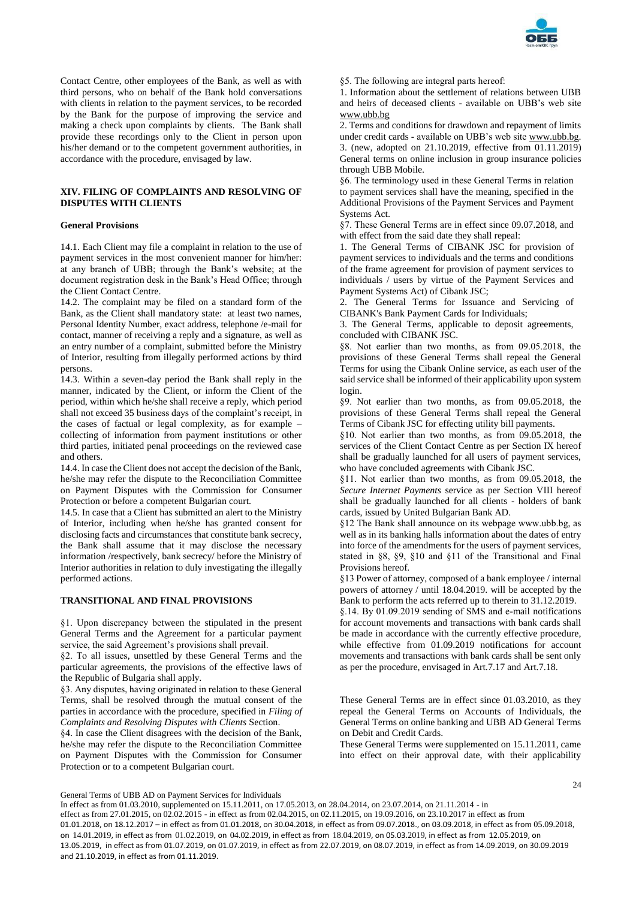

Contact Centre, other employees of the Bank, as well as with third persons, who on behalf of the Bank hold conversations with clients in relation to the payment services, to be recorded by the Bank for the purpose of improving the service and making a check upon complaints by clients. The Bank shall provide these recordings only to the Client in person upon his/her demand or to the competent government authorities, in accordance with the procedure, envisaged by law.

# **XIV. FILING OF COMPLAINTS AND RESOLVING OF DISPUTES WITH CLIENTS**

## **General Provisions**

14.1. Each Client may file a complaint in relation to the use of payment services in the most convenient manner for him/her: at any branch of UBB; through the Bank's website; at the document registration desk in the Bank's Head Office; through the Client Contact Centre.

14.2. The complaint may be filed on a standard form of the Bank, as the Client shall mandatory state: at least two names, Personal Identity Number, exact address, telephone /e-mail for contact, manner of receiving a reply and a signature, as well as an entry number of a complaint, submitted before the Ministry of Interior, resulting from illegally performed actions by third persons.

14.3. Within a seven-day period the Bank shall reply in the manner, indicated by the Client, or inform the Client of the period, within which he/she shall receive a reply, which period shall not exceed 35 business days of the complaint's receipt, in the cases of factual or legal complexity, as for example – collecting of information from payment institutions or other third parties, initiated penal proceedings on the reviewed case and others.

14.4. In case the Client does not accept the decision of the Bank, he/she may refer the dispute to the Reconciliation Committee on Payment Disputes with the Commission for Consumer Protection or before a competent Bulgarian court.

14.5. In case that a Client has submitted an alert to the Ministry of Interior, including when he/she has granted consent for disclosing facts and circumstances that constitute bank secrecy, the Bank shall assume that it may disclose the necessary information /respectively, bank secrecy/ before the Ministry of Interior authorities in relation to duly investigating the illegally performed actions.

# **TRANSITIONAL AND FINAL PROVISIONS**

§1. Upon discrepancy between the stipulated in the present General Terms and the Agreement for a particular payment service, the said Agreement's provisions shall prevail.

§2. To all issues, unsettled by these General Terms and the particular agreements, the provisions of the effective laws of the Republic of Bulgaria shall apply.

§3. Any disputes, having originated in relation to these General Terms, shall be resolved through the mutual consent of the parties in accordance with the procedure, specified in *Filing of Complaints and Resolving Disputes with Clients* Section.

§4. In case the Client disagrees with the decision of the Bank, he/she may refer the dispute to the Reconciliation Committee on Payment Disputes with the Commission for Consumer Protection or to a competent Bulgarian court.

§5. The following are integral parts hereof:

1. Information about the settlement of relations between UBB and heirs of deceased clients - available on UBB's web site [www.ubb.bg](http://www.ubb.bg/)

2. Terms and conditions for drawdown and repayment of limits under credit cards - available on UBB's web sit[e www.ubb.bg.](http://www.ubb.bg/) 3. (new, adopted on 21.10.2019, effective from 01.11.2019) General terms on online inclusion in group insurance policies through UBB Mobile.

§6. The terminology used in these General Terms in relation to payment services shall have the meaning, specified in the Additional Provisions of the Payment Services and Payment Systems Act.

§7. These General Terms are in effect since 09.07.2018, and with effect from the said date they shall repeal:

1. The General Terms of CIBANK JSC for provision of payment services to individuals and the terms and conditions of the frame agreement for provision of payment services to individuals / users by virtue of the Payment Services and Payment Systems Act) of Cibank JSC;

2. The General Terms for Issuance and Servicing of CIBANK's Bank Payment Cards for Individuals;

3. The General Terms, applicable to deposit agreements, concluded with CIBANK JSC.

§8. Not earlier than two months, as from 09.05.2018, the provisions of these General Terms shall repeal the General Terms for using the Cibank Online service, as each user of the said service shall be informed of their applicability upon system login.

§9. Not earlier than two months, as from 09.05.2018, the provisions of these General Terms shall repeal the General Terms of Cibank JSC for effecting utility bill payments.

§10. Not earlier than two months, as from 09.05.2018, the services of the Client Contact Centre as per Section IX hereof shall be gradually launched for all users of payment services, who have concluded agreements with Cibank JSC.

§11. Not earlier than two months, as from 09.05.2018, the *Secure Internet Payments* service as per Section VIII hereof shall be gradually launched for all clients - holders of bank cards, issued by United Bulgarian Bank AD.

§12 The Bank shall announce on its webpage www.ubb.bg, as well as in its banking halls information about the dates of entry into force of the amendments for the users of payment services, stated in §8, §9, §10 and §11 of the Transitional and Final Provisions hereof.

§13 Power of attorney, composed of a bank employee / internal powers of attorney / until 18.04.2019. will be accepted by the Bank to perform the acts referred up to therein to 31.12.2019.

§.14. By 01.09.2019 sending of SMS and e-mail notifications for account movements and transactions with bank cards shall be made in accordance with the currently effective procedure, while effective from 01.09.2019 notifications for account movements and transactions with bank cards shall be sent only as per the procedure, envisaged in Art.7.17 and Art.7.18.

These General Terms are in effect since 01.03.2010, as they repeal the General Terms on Accounts of Individuals, the General Terms on online banking and UBB AD General Terms on Debit and Credit Cards.

These General Terms were supplemented on 15.11.2011, came into effect on their approval date, with their applicability

24

General Terms of UBB AD on Payment Services for Individuals